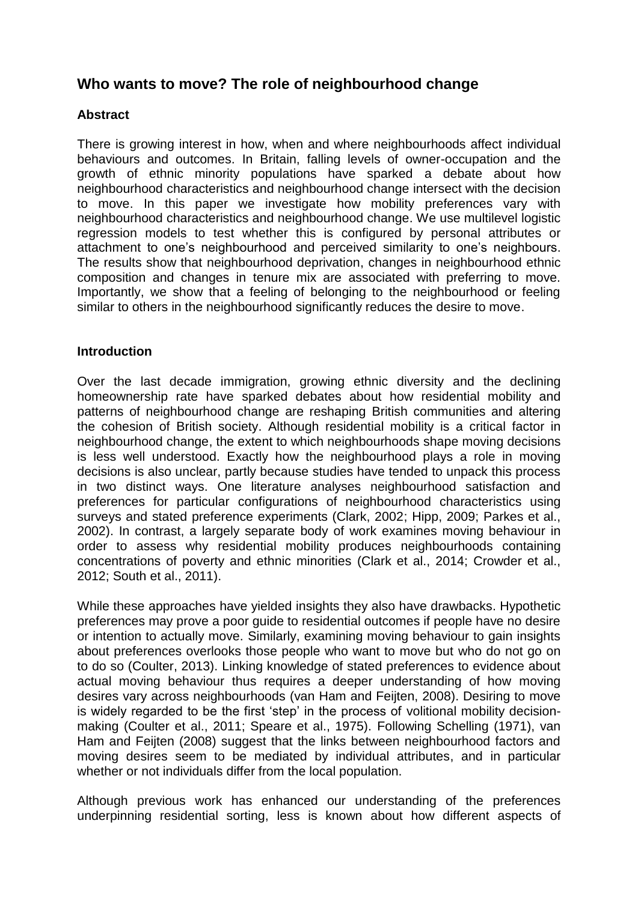# **Who wants to move? The role of neighbourhood change**

# **Abstract**

There is growing interest in how, when and where neighbourhoods affect individual behaviours and outcomes. In Britain, falling levels of owner-occupation and the growth of ethnic minority populations have sparked a debate about how neighbourhood characteristics and neighbourhood change intersect with the decision to move. In this paper we investigate how mobility preferences vary with neighbourhood characteristics and neighbourhood change. We use multilevel logistic regression models to test whether this is configured by personal attributes or attachment to one's neighbourhood and perceived similarity to one's neighbours. The results show that neighbourhood deprivation, changes in neighbourhood ethnic composition and changes in tenure mix are associated with preferring to move. Importantly, we show that a feeling of belonging to the neighbourhood or feeling similar to others in the neighbourhood significantly reduces the desire to move.

## **Introduction**

Over the last decade immigration, growing ethnic diversity and the declining homeownership rate have sparked debates about how residential mobility and patterns of neighbourhood change are reshaping British communities and altering the cohesion of British society. Although residential mobility is a critical factor in neighbourhood change, the extent to which neighbourhoods shape moving decisions is less well understood. Exactly how the neighbourhood plays a role in moving decisions is also unclear, partly because studies have tended to unpack this process in two distinct ways. One literature analyses neighbourhood satisfaction and preferences for particular configurations of neighbourhood characteristics using surveys and stated preference experiments (Clark, 2002; Hipp, 2009; Parkes et al., 2002). In contrast, a largely separate body of work examines moving behaviour in order to assess why residential mobility produces neighbourhoods containing concentrations of poverty and ethnic minorities (Clark et al., 2014; Crowder et al., 2012; South et al., 2011).

While these approaches have yielded insights they also have drawbacks. Hypothetic preferences may prove a poor guide to residential outcomes if people have no desire or intention to actually move. Similarly, examining moving behaviour to gain insights about preferences overlooks those people who want to move but who do not go on to do so (Coulter, 2013). Linking knowledge of stated preferences to evidence about actual moving behaviour thus requires a deeper understanding of how moving desires vary across neighbourhoods (van Ham and Feijten, 2008). Desiring to move is widely regarded to be the first 'step' in the process of volitional mobility decisionmaking (Coulter et al., 2011; Speare et al., 1975). Following Schelling (1971), van Ham and Feijten (2008) suggest that the links between neighbourhood factors and moving desires seem to be mediated by individual attributes, and in particular whether or not individuals differ from the local population.

Although previous work has enhanced our understanding of the preferences underpinning residential sorting, less is known about how different aspects of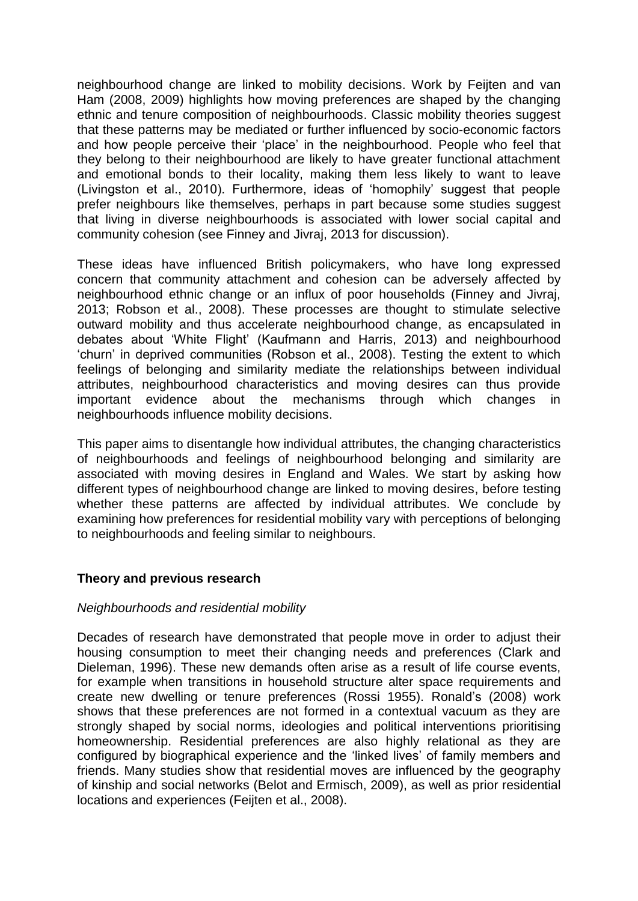neighbourhood change are linked to mobility decisions. Work by Feijten and van Ham (2008, 2009) highlights how moving preferences are shaped by the changing ethnic and tenure composition of neighbourhoods. Classic mobility theories suggest that these patterns may be mediated or further influenced by socio-economic factors and how people perceive their 'place' in the neighbourhood. People who feel that they belong to their neighbourhood are likely to have greater functional attachment and emotional bonds to their locality, making them less likely to want to leave (Livingston et al., 2010). Furthermore, ideas of 'homophily' suggest that people prefer neighbours like themselves, perhaps in part because some studies suggest that living in diverse neighbourhoods is associated with lower social capital and community cohesion (see Finney and Jivraj, 2013 for discussion).

These ideas have influenced British policymakers, who have long expressed concern that community attachment and cohesion can be adversely affected by neighbourhood ethnic change or an influx of poor households (Finney and Jivraj, 2013; Robson et al., 2008). These processes are thought to stimulate selective outward mobility and thus accelerate neighbourhood change, as encapsulated in debates about 'White Flight' (Kaufmann and Harris, 2013) and neighbourhood 'churn' in deprived communities (Robson et al., 2008). Testing the extent to which feelings of belonging and similarity mediate the relationships between individual attributes, neighbourhood characteristics and moving desires can thus provide important evidence about the mechanisms through which changes in neighbourhoods influence mobility decisions.

This paper aims to disentangle how individual attributes, the changing characteristics of neighbourhoods and feelings of neighbourhood belonging and similarity are associated with moving desires in England and Wales. We start by asking how different types of neighbourhood change are linked to moving desires, before testing whether these patterns are affected by individual attributes. We conclude by examining how preferences for residential mobility vary with perceptions of belonging to neighbourhoods and feeling similar to neighbours.

## **Theory and previous research**

#### *Neighbourhoods and residential mobility*

Decades of research have demonstrated that people move in order to adjust their housing consumption to meet their changing needs and preferences (Clark and Dieleman, 1996). These new demands often arise as a result of life course events, for example when transitions in household structure alter space requirements and create new dwelling or tenure preferences (Rossi 1955). Ronald's (2008) work shows that these preferences are not formed in a contextual vacuum as they are strongly shaped by social norms, ideologies and political interventions prioritising homeownership. Residential preferences are also highly relational as they are configured by biographical experience and the 'linked lives' of family members and friends. Many studies show that residential moves are influenced by the geography of kinship and social networks (Belot and Ermisch, 2009), as well as prior residential locations and experiences (Feijten et al., 2008).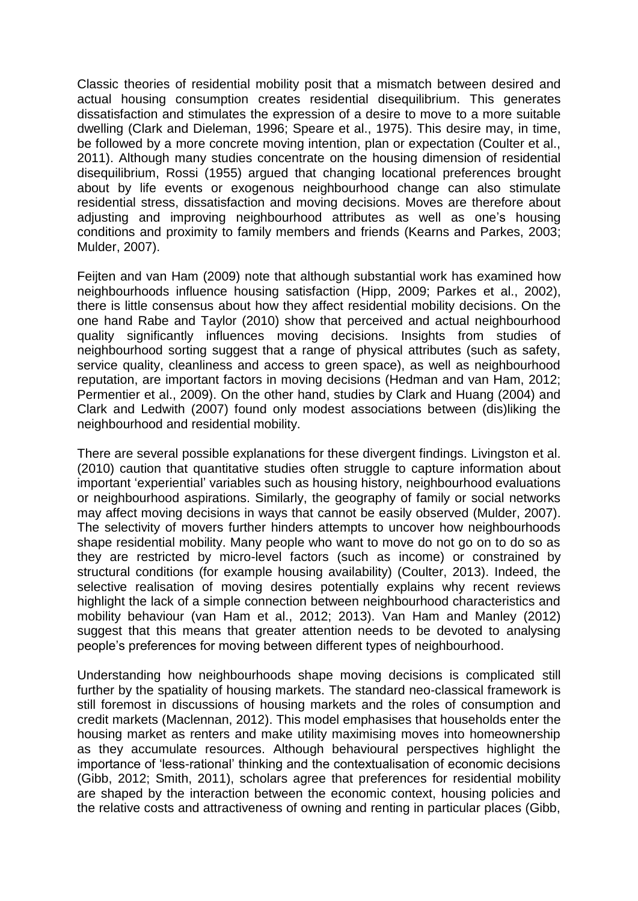Classic theories of residential mobility posit that a mismatch between desired and actual housing consumption creates residential disequilibrium. This generates dissatisfaction and stimulates the expression of a desire to move to a more suitable dwelling (Clark and Dieleman, 1996; Speare et al., 1975). This desire may, in time, be followed by a more concrete moving intention, plan or expectation (Coulter et al., 2011). Although many studies concentrate on the housing dimension of residential disequilibrium, Rossi (1955) argued that changing locational preferences brought about by life events or exogenous neighbourhood change can also stimulate residential stress, dissatisfaction and moving decisions. Moves are therefore about adjusting and improving neighbourhood attributes as well as one's housing conditions and proximity to family members and friends (Kearns and Parkes, 2003; Mulder, 2007).

Feijten and van Ham (2009) note that although substantial work has examined how neighbourhoods influence housing satisfaction (Hipp, 2009; Parkes et al., 2002), there is little consensus about how they affect residential mobility decisions. On the one hand Rabe and Taylor (2010) show that perceived and actual neighbourhood quality significantly influences moving decisions. Insights from studies of neighbourhood sorting suggest that a range of physical attributes (such as safety, service quality, cleanliness and access to green space), as well as neighbourhood reputation, are important factors in moving decisions (Hedman and van Ham, 2012; Permentier et al., 2009). On the other hand, studies by Clark and Huang (2004) and Clark and Ledwith (2007) found only modest associations between (dis)liking the neighbourhood and residential mobility.

There are several possible explanations for these divergent findings. Livingston et al. (2010) caution that quantitative studies often struggle to capture information about important 'experiential' variables such as housing history, neighbourhood evaluations or neighbourhood aspirations. Similarly, the geography of family or social networks may affect moving decisions in ways that cannot be easily observed (Mulder, 2007). The selectivity of movers further hinders attempts to uncover how neighbourhoods shape residential mobility. Many people who want to move do not go on to do so as they are restricted by micro-level factors (such as income) or constrained by structural conditions (for example housing availability) (Coulter, 2013). Indeed, the selective realisation of moving desires potentially explains why recent reviews highlight the lack of a simple connection between neighbourhood characteristics and mobility behaviour (van Ham et al., 2012; 2013). Van Ham and Manley (2012) suggest that this means that greater attention needs to be devoted to analysing people's preferences for moving between different types of neighbourhood.

Understanding how neighbourhoods shape moving decisions is complicated still further by the spatiality of housing markets. The standard neo-classical framework is still foremost in discussions of housing markets and the roles of consumption and credit markets (Maclennan, 2012). This model emphasises that households enter the housing market as renters and make utility maximising moves into homeownership as they accumulate resources. Although behavioural perspectives highlight the importance of 'less-rational' thinking and the contextualisation of economic decisions (Gibb, 2012; Smith, 2011), scholars agree that preferences for residential mobility are shaped by the interaction between the economic context, housing policies and the relative costs and attractiveness of owning and renting in particular places (Gibb,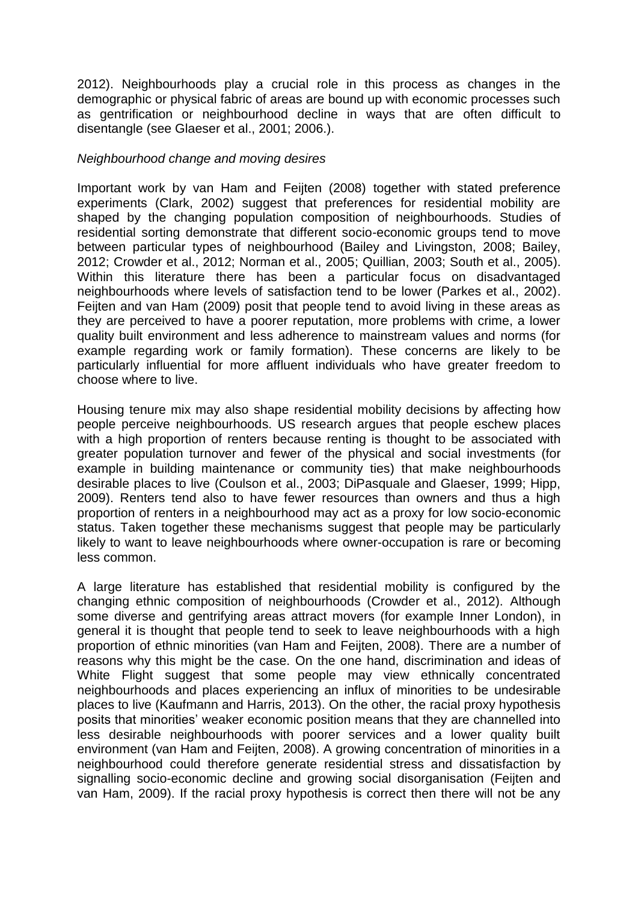2012). Neighbourhoods play a crucial role in this process as changes in the demographic or physical fabric of areas are bound up with economic processes such as gentrification or neighbourhood decline in ways that are often difficult to disentangle (see Glaeser et al., 2001; 2006.).

#### *Neighbourhood change and moving desires*

Important work by van Ham and Feijten (2008) together with stated preference experiments (Clark, 2002) suggest that preferences for residential mobility are shaped by the changing population composition of neighbourhoods. Studies of residential sorting demonstrate that different socio-economic groups tend to move between particular types of neighbourhood (Bailey and Livingston, 2008; Bailey, 2012; Crowder et al., 2012; Norman et al., 2005; Quillian, 2003; South et al., 2005). Within this literature there has been a particular focus on disadvantaged neighbourhoods where levels of satisfaction tend to be lower (Parkes et al., 2002). Feijten and van Ham (2009) posit that people tend to avoid living in these areas as they are perceived to have a poorer reputation, more problems with crime, a lower quality built environment and less adherence to mainstream values and norms (for example regarding work or family formation). These concerns are likely to be particularly influential for more affluent individuals who have greater freedom to choose where to live.

Housing tenure mix may also shape residential mobility decisions by affecting how people perceive neighbourhoods. US research argues that people eschew places with a high proportion of renters because renting is thought to be associated with greater population turnover and fewer of the physical and social investments (for example in building maintenance or community ties) that make neighbourhoods desirable places to live (Coulson et al., 2003; DiPasquale and Glaeser, 1999; Hipp, 2009). Renters tend also to have fewer resources than owners and thus a high proportion of renters in a neighbourhood may act as a proxy for low socio-economic status. Taken together these mechanisms suggest that people may be particularly likely to want to leave neighbourhoods where owner-occupation is rare or becoming less common.

A large literature has established that residential mobility is configured by the changing ethnic composition of neighbourhoods (Crowder et al., 2012). Although some diverse and gentrifying areas attract movers (for example Inner London), in general it is thought that people tend to seek to leave neighbourhoods with a high proportion of ethnic minorities (van Ham and Feijten, 2008). There are a number of reasons why this might be the case. On the one hand, discrimination and ideas of White Flight suggest that some people may view ethnically concentrated neighbourhoods and places experiencing an influx of minorities to be undesirable places to live (Kaufmann and Harris, 2013). On the other, the racial proxy hypothesis posits that minorities' weaker economic position means that they are channelled into less desirable neighbourhoods with poorer services and a lower quality built environment (van Ham and Feijten, 2008). A growing concentration of minorities in a neighbourhood could therefore generate residential stress and dissatisfaction by signalling socio-economic decline and growing social disorganisation (Feijten and van Ham, 2009). If the racial proxy hypothesis is correct then there will not be any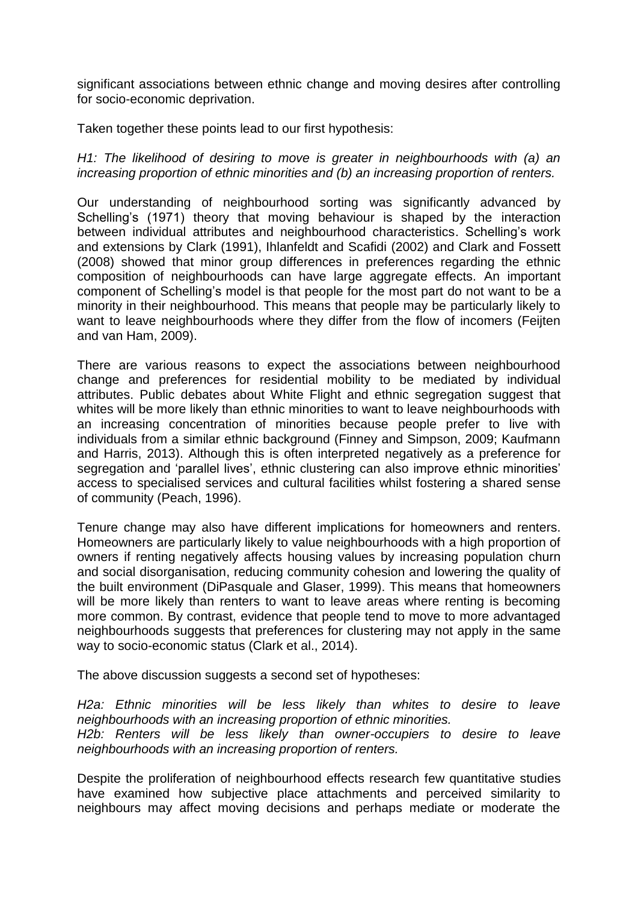significant associations between ethnic change and moving desires after controlling for socio-economic deprivation.

Taken together these points lead to our first hypothesis:

*H1: The likelihood of desiring to move is greater in neighbourhoods with (a) an increasing proportion of ethnic minorities and (b) an increasing proportion of renters.*

Our understanding of neighbourhood sorting was significantly advanced by Schelling's (1971) theory that moving behaviour is shaped by the interaction between individual attributes and neighbourhood characteristics. Schelling's work and extensions by Clark (1991), Ihlanfeldt and Scafidi (2002) and Clark and Fossett (2008) showed that minor group differences in preferences regarding the ethnic composition of neighbourhoods can have large aggregate effects. An important component of Schelling's model is that people for the most part do not want to be a minority in their neighbourhood. This means that people may be particularly likely to want to leave neighbourhoods where they differ from the flow of incomers (Feijten and van Ham, 2009).

There are various reasons to expect the associations between neighbourhood change and preferences for residential mobility to be mediated by individual attributes. Public debates about White Flight and ethnic segregation suggest that whites will be more likely than ethnic minorities to want to leave neighbourhoods with an increasing concentration of minorities because people prefer to live with individuals from a similar ethnic background (Finney and Simpson, 2009; Kaufmann and Harris, 2013). Although this is often interpreted negatively as a preference for segregation and 'parallel lives', ethnic clustering can also improve ethnic minorities' access to specialised services and cultural facilities whilst fostering a shared sense of community (Peach, 1996).

Tenure change may also have different implications for homeowners and renters. Homeowners are particularly likely to value neighbourhoods with a high proportion of owners if renting negatively affects housing values by increasing population churn and social disorganisation, reducing community cohesion and lowering the quality of the built environment (DiPasquale and Glaser, 1999). This means that homeowners will be more likely than renters to want to leave areas where renting is becoming more common. By contrast, evidence that people tend to move to more advantaged neighbourhoods suggests that preferences for clustering may not apply in the same way to socio-economic status (Clark et al., 2014).

The above discussion suggests a second set of hypotheses:

*H2a: Ethnic minorities will be less likely than whites to desire to leave neighbourhoods with an increasing proportion of ethnic minorities. H2b: Renters will be less likely than owner-occupiers to desire to leave neighbourhoods with an increasing proportion of renters.*

Despite the proliferation of neighbourhood effects research few quantitative studies have examined how subjective place attachments and perceived similarity to neighbours may affect moving decisions and perhaps mediate or moderate the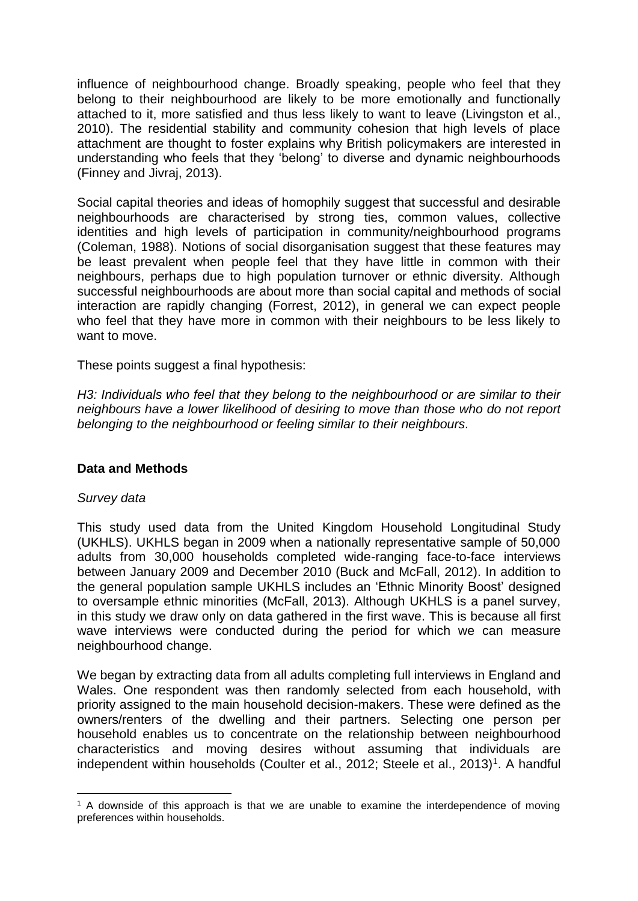influence of neighbourhood change. Broadly speaking, people who feel that they belong to their neighbourhood are likely to be more emotionally and functionally attached to it, more satisfied and thus less likely to want to leave (Livingston et al., 2010). The residential stability and community cohesion that high levels of place attachment are thought to foster explains why British policymakers are interested in understanding who feels that they 'belong' to diverse and dynamic neighbourhoods (Finney and Jivraj, 2013).

Social capital theories and ideas of homophily suggest that successful and desirable neighbourhoods are characterised by strong ties, common values, collective identities and high levels of participation in community/neighbourhood programs (Coleman, 1988). Notions of social disorganisation suggest that these features may be least prevalent when people feel that they have little in common with their neighbours, perhaps due to high population turnover or ethnic diversity. Although successful neighbourhoods are about more than social capital and methods of social interaction are rapidly changing (Forrest, 2012), in general we can expect people who feel that they have more in common with their neighbours to be less likely to want to move.

These points suggest a final hypothesis:

*H3: Individuals who feel that they belong to the neighbourhood or are similar to their neighbours have a lower likelihood of desiring to move than those who do not report belonging to the neighbourhood or feeling similar to their neighbours.* 

## **Data and Methods**

#### *Survey data*

**.** 

This study used data from the United Kingdom Household Longitudinal Study (UKHLS). UKHLS began in 2009 when a nationally representative sample of 50,000 adults from 30,000 households completed wide-ranging face-to-face interviews between January 2009 and December 2010 (Buck and McFall, 2012). In addition to the general population sample UKHLS includes an 'Ethnic Minority Boost' designed to oversample ethnic minorities (McFall, 2013). Although UKHLS is a panel survey, in this study we draw only on data gathered in the first wave. This is because all first wave interviews were conducted during the period for which we can measure neighbourhood change.

We began by extracting data from all adults completing full interviews in England and Wales. One respondent was then randomly selected from each household, with priority assigned to the main household decision-makers. These were defined as the owners/renters of the dwelling and their partners. Selecting one person per household enables us to concentrate on the relationship between neighbourhood characteristics and moving desires without assuming that individuals are independent within households (Coulter et al., 2012; Steele et al., 2013)<sup>1</sup>. A handful

<sup>&</sup>lt;sup>1</sup> A downside of this approach is that we are unable to examine the interdependence of moving preferences within households.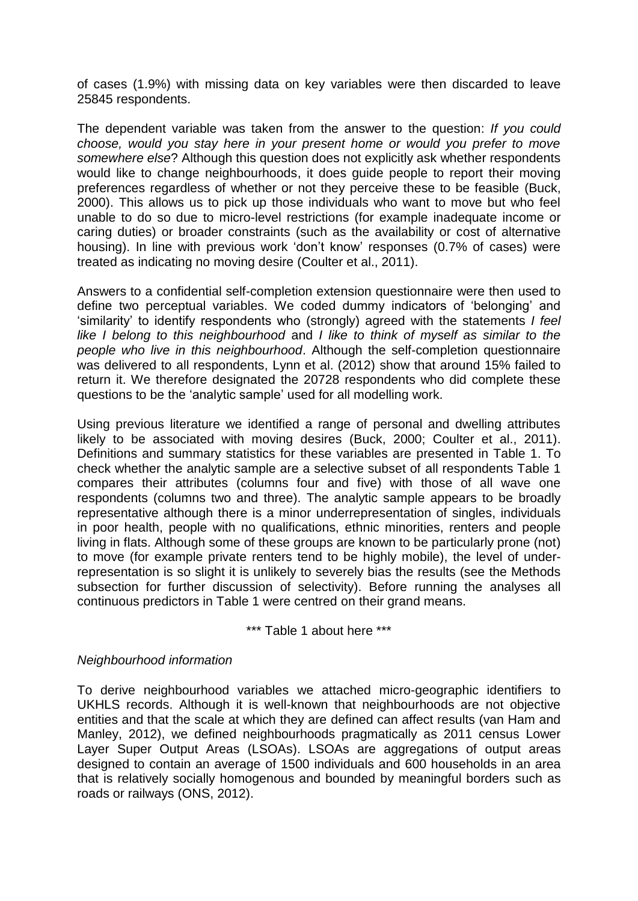of cases (1.9%) with missing data on key variables were then discarded to leave 25845 respondents.

The dependent variable was taken from the answer to the question: *If you could choose, would you stay here in your present home or would you prefer to move somewhere else*? Although this question does not explicitly ask whether respondents would like to change neighbourhoods, it does guide people to report their moving preferences regardless of whether or not they perceive these to be feasible (Buck, 2000). This allows us to pick up those individuals who want to move but who feel unable to do so due to micro-level restrictions (for example inadequate income or caring duties) or broader constraints (such as the availability or cost of alternative housing). In line with previous work 'don't know' responses (0.7% of cases) were treated as indicating no moving desire (Coulter et al., 2011).

Answers to a confidential self-completion extension questionnaire were then used to define two perceptual variables. We coded dummy indicators of 'belonging' and 'similarity' to identify respondents who (strongly) agreed with the statements *I feel like I belong to this neighbourhood* and *I like to think of myself as similar to the people who live in this neighbourhood*. Although the self-completion questionnaire was delivered to all respondents, Lynn et al. (2012) show that around 15% failed to return it. We therefore designated the 20728 respondents who did complete these questions to be the 'analytic sample' used for all modelling work.

Using previous literature we identified a range of personal and dwelling attributes likely to be associated with moving desires (Buck, 2000; Coulter et al., 2011). Definitions and summary statistics for these variables are presented in Table 1. To check whether the analytic sample are a selective subset of all respondents Table 1 compares their attributes (columns four and five) with those of all wave one respondents (columns two and three). The analytic sample appears to be broadly representative although there is a minor underrepresentation of singles, individuals in poor health, people with no qualifications, ethnic minorities, renters and people living in flats. Although some of these groups are known to be particularly prone (not) to move (for example private renters tend to be highly mobile), the level of underrepresentation is so slight it is unlikely to severely bias the results (see the Methods subsection for further discussion of selectivity). Before running the analyses all continuous predictors in Table 1 were centred on their grand means.

\*\*\* Table 1 about here \*\*\*

## *Neighbourhood information*

To derive neighbourhood variables we attached micro-geographic identifiers to UKHLS records. Although it is well-known that neighbourhoods are not objective entities and that the scale at which they are defined can affect results (van Ham and Manley, 2012), we defined neighbourhoods pragmatically as 2011 census Lower Layer Super Output Areas (LSOAs). LSOAs are aggregations of output areas designed to contain an average of 1500 individuals and 600 households in an area that is relatively socially homogenous and bounded by meaningful borders such as roads or railways (ONS, 2012).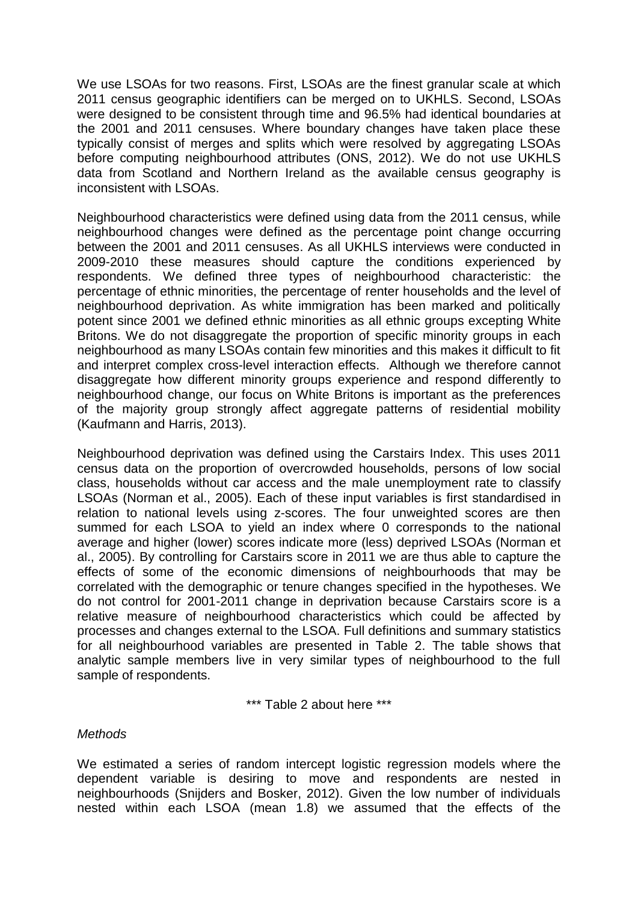We use LSOAs for two reasons. First, LSOAs are the finest granular scale at which 2011 census geographic identifiers can be merged on to UKHLS. Second, LSOAs were designed to be consistent through time and 96.5% had identical boundaries at the 2001 and 2011 censuses. Where boundary changes have taken place these typically consist of merges and splits which were resolved by aggregating LSOAs before computing neighbourhood attributes (ONS, 2012). We do not use UKHLS data from Scotland and Northern Ireland as the available census geography is inconsistent with LSOAs.

Neighbourhood characteristics were defined using data from the 2011 census, while neighbourhood changes were defined as the percentage point change occurring between the 2001 and 2011 censuses. As all UKHLS interviews were conducted in 2009-2010 these measures should capture the conditions experienced by respondents. We defined three types of neighbourhood characteristic: the percentage of ethnic minorities, the percentage of renter households and the level of neighbourhood deprivation. As white immigration has been marked and politically potent since 2001 we defined ethnic minorities as all ethnic groups excepting White Britons. We do not disaggregate the proportion of specific minority groups in each neighbourhood as many LSOAs contain few minorities and this makes it difficult to fit and interpret complex cross-level interaction effects. Although we therefore cannot disaggregate how different minority groups experience and respond differently to neighbourhood change, our focus on White Britons is important as the preferences of the majority group strongly affect aggregate patterns of residential mobility (Kaufmann and Harris, 2013).

Neighbourhood deprivation was defined using the Carstairs Index. This uses 2011 census data on the proportion of overcrowded households, persons of low social class, households without car access and the male unemployment rate to classify LSOAs (Norman et al., 2005). Each of these input variables is first standardised in relation to national levels using z-scores. The four unweighted scores are then summed for each LSOA to yield an index where 0 corresponds to the national average and higher (lower) scores indicate more (less) deprived LSOAs (Norman et al., 2005). By controlling for Carstairs score in 2011 we are thus able to capture the effects of some of the economic dimensions of neighbourhoods that may be correlated with the demographic or tenure changes specified in the hypotheses. We do not control for 2001-2011 change in deprivation because Carstairs score is a relative measure of neighbourhood characteristics which could be affected by processes and changes external to the LSOA. Full definitions and summary statistics for all neighbourhood variables are presented in Table 2. The table shows that analytic sample members live in very similar types of neighbourhood to the full sample of respondents.

\*\*\* Table 2 about here \*\*\*

*Methods*

We estimated a series of random intercept logistic regression models where the dependent variable is desiring to move and respondents are nested in neighbourhoods (Snijders and Bosker, 2012). Given the low number of individuals nested within each LSOA (mean 1.8) we assumed that the effects of the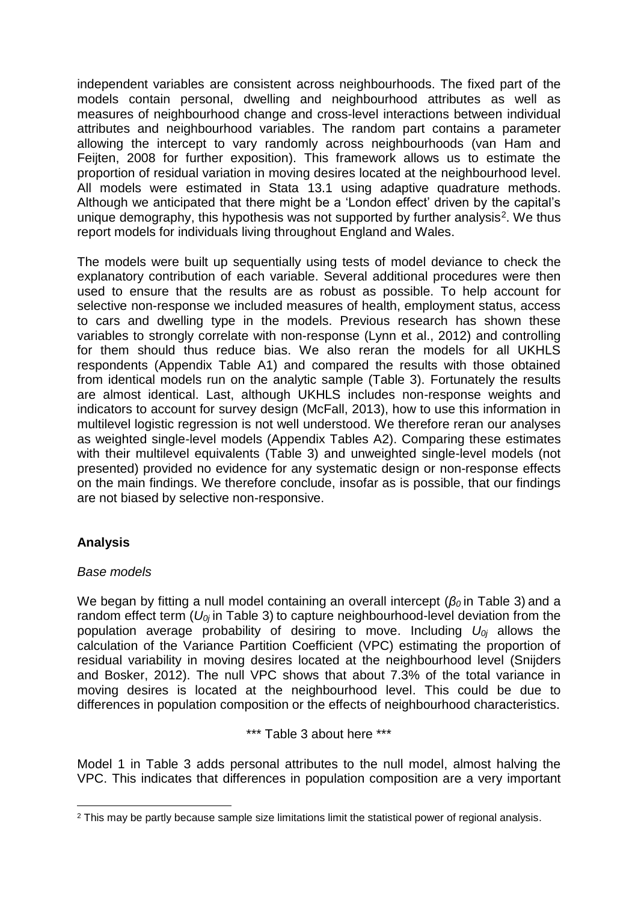independent variables are consistent across neighbourhoods. The fixed part of the models contain personal, dwelling and neighbourhood attributes as well as measures of neighbourhood change and cross-level interactions between individual attributes and neighbourhood variables. The random part contains a parameter allowing the intercept to vary randomly across neighbourhoods (van Ham and Feijten, 2008 for further exposition). This framework allows us to estimate the proportion of residual variation in moving desires located at the neighbourhood level. All models were estimated in Stata 13.1 using adaptive quadrature methods. Although we anticipated that there might be a 'London effect' driven by the capital's unique demography, this hypothesis was not supported by further analysis<sup>2</sup>. We thus report models for individuals living throughout England and Wales.

The models were built up sequentially using tests of model deviance to check the explanatory contribution of each variable. Several additional procedures were then used to ensure that the results are as robust as possible. To help account for selective non-response we included measures of health, employment status, access to cars and dwelling type in the models. Previous research has shown these variables to strongly correlate with non-response (Lynn et al., 2012) and controlling for them should thus reduce bias. We also reran the models for all UKHLS respondents (Appendix Table A1) and compared the results with those obtained from identical models run on the analytic sample (Table 3). Fortunately the results are almost identical. Last, although UKHLS includes non-response weights and indicators to account for survey design (McFall, 2013), how to use this information in multilevel logistic regression is not well understood. We therefore reran our analyses as weighted single-level models (Appendix Tables A2). Comparing these estimates with their multilevel equivalents (Table 3) and unweighted single-level models (not presented) provided no evidence for any systematic design or non-response effects on the main findings. We therefore conclude, insofar as is possible, that our findings are not biased by selective non-responsive.

# **Analysis**

## *Base models*

We began by fitting a null model containing an overall intercept (*β<sup>0</sup>* in Table 3) and a random effect term (*U0j* in Table 3) to capture neighbourhood-level deviation from the population average probability of desiring to move. Including *U0j* allows the calculation of the Variance Partition Coefficient (VPC) estimating the proportion of residual variability in moving desires located at the neighbourhood level (Snijders and Bosker, 2012). The null VPC shows that about 7.3% of the total variance in moving desires is located at the neighbourhood level. This could be due to differences in population composition or the effects of neighbourhood characteristics.

\*\*\* Table 3 about here \*\*\*

Model 1 in Table 3 adds personal attributes to the null model, almost halving the VPC. This indicates that differences in population composition are a very important

**<sup>.</sup>** <sup>2</sup> This may be partly because sample size limitations limit the statistical power of regional analysis.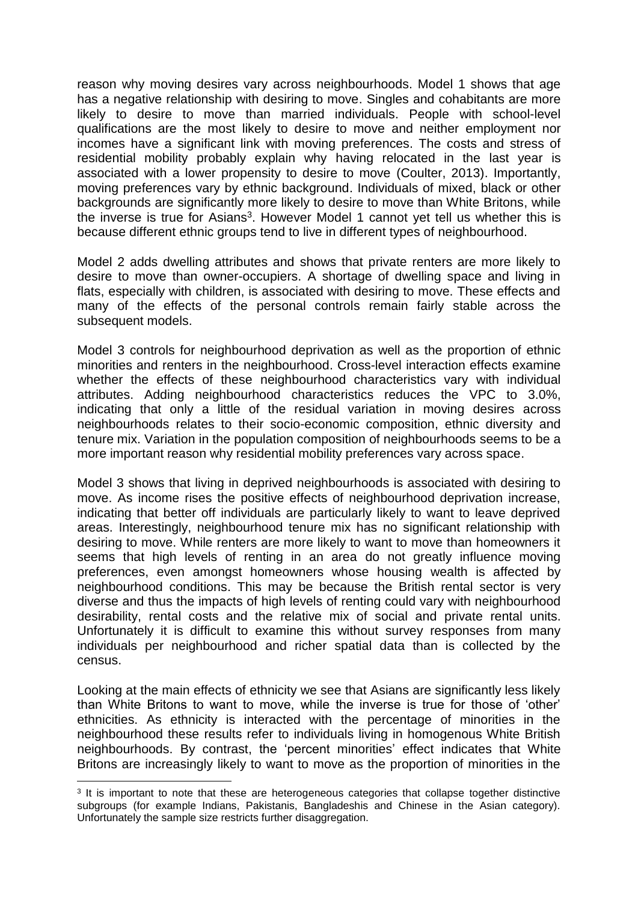reason why moving desires vary across neighbourhoods. Model 1 shows that age has a negative relationship with desiring to move. Singles and cohabitants are more likely to desire to move than married individuals. People with school-level qualifications are the most likely to desire to move and neither employment nor incomes have a significant link with moving preferences. The costs and stress of residential mobility probably explain why having relocated in the last year is associated with a lower propensity to desire to move (Coulter, 2013). Importantly, moving preferences vary by ethnic background. Individuals of mixed, black or other backgrounds are significantly more likely to desire to move than White Britons, while the inverse is true for Asians<sup>3</sup>. However Model 1 cannot yet tell us whether this is because different ethnic groups tend to live in different types of neighbourhood.

Model 2 adds dwelling attributes and shows that private renters are more likely to desire to move than owner-occupiers. A shortage of dwelling space and living in flats, especially with children, is associated with desiring to move. These effects and many of the effects of the personal controls remain fairly stable across the subsequent models.

Model 3 controls for neighbourhood deprivation as well as the proportion of ethnic minorities and renters in the neighbourhood. Cross-level interaction effects examine whether the effects of these neighbourhood characteristics vary with individual attributes. Adding neighbourhood characteristics reduces the VPC to 3.0%, indicating that only a little of the residual variation in moving desires across neighbourhoods relates to their socio-economic composition, ethnic diversity and tenure mix. Variation in the population composition of neighbourhoods seems to be a more important reason why residential mobility preferences vary across space.

Model 3 shows that living in deprived neighbourhoods is associated with desiring to move. As income rises the positive effects of neighbourhood deprivation increase, indicating that better off individuals are particularly likely to want to leave deprived areas. Interestingly, neighbourhood tenure mix has no significant relationship with desiring to move. While renters are more likely to want to move than homeowners it seems that high levels of renting in an area do not greatly influence moving preferences, even amongst homeowners whose housing wealth is affected by neighbourhood conditions. This may be because the British rental sector is very diverse and thus the impacts of high levels of renting could vary with neighbourhood desirability, rental costs and the relative mix of social and private rental units. Unfortunately it is difficult to examine this without survey responses from many individuals per neighbourhood and richer spatial data than is collected by the census.

Looking at the main effects of ethnicity we see that Asians are significantly less likely than White Britons to want to move, while the inverse is true for those of 'other' ethnicities. As ethnicity is interacted with the percentage of minorities in the neighbourhood these results refer to individuals living in homogenous White British neighbourhoods. By contrast, the 'percent minorities' effect indicates that White Britons are increasingly likely to want to move as the proportion of minorities in the

<sup>1</sup> <sup>3</sup> It is important to note that these are heterogeneous categories that collapse together distinctive subgroups (for example Indians, Pakistanis, Bangladeshis and Chinese in the Asian category). Unfortunately the sample size restricts further disaggregation.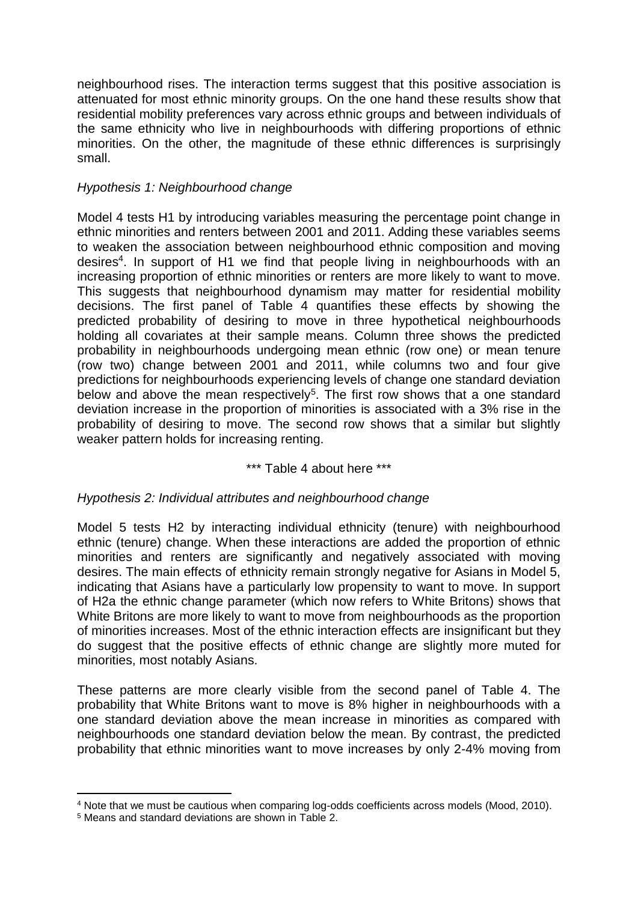neighbourhood rises. The interaction terms suggest that this positive association is attenuated for most ethnic minority groups. On the one hand these results show that residential mobility preferences vary across ethnic groups and between individuals of the same ethnicity who live in neighbourhoods with differing proportions of ethnic minorities. On the other, the magnitude of these ethnic differences is surprisingly small.

## *Hypothesis 1: Neighbourhood change*

Model 4 tests H1 by introducing variables measuring the percentage point change in ethnic minorities and renters between 2001 and 2011. Adding these variables seems to weaken the association between neighbourhood ethnic composition and moving desires<sup>4</sup> . In support of H1 we find that people living in neighbourhoods with an increasing proportion of ethnic minorities or renters are more likely to want to move. This suggests that neighbourhood dynamism may matter for residential mobility decisions. The first panel of Table 4 quantifies these effects by showing the predicted probability of desiring to move in three hypothetical neighbourhoods holding all covariates at their sample means. Column three shows the predicted probability in neighbourhoods undergoing mean ethnic (row one) or mean tenure (row two) change between 2001 and 2011, while columns two and four give predictions for neighbourhoods experiencing levels of change one standard deviation below and above the mean respectively<sup>5</sup>. The first row shows that a one standard deviation increase in the proportion of minorities is associated with a 3% rise in the probability of desiring to move. The second row shows that a similar but slightly weaker pattern holds for increasing renting.

## \*\*\* Table 4 about here \*\*\*

## *Hypothesis 2: Individual attributes and neighbourhood change*

Model 5 tests H2 by interacting individual ethnicity (tenure) with neighbourhood ethnic (tenure) change. When these interactions are added the proportion of ethnic minorities and renters are significantly and negatively associated with moving desires. The main effects of ethnicity remain strongly negative for Asians in Model 5, indicating that Asians have a particularly low propensity to want to move. In support of H2a the ethnic change parameter (which now refers to White Britons) shows that White Britons are more likely to want to move from neighbourhoods as the proportion of minorities increases. Most of the ethnic interaction effects are insignificant but they do suggest that the positive effects of ethnic change are slightly more muted for minorities, most notably Asians.

These patterns are more clearly visible from the second panel of Table 4. The probability that White Britons want to move is 8% higher in neighbourhoods with a one standard deviation above the mean increase in minorities as compared with neighbourhoods one standard deviation below the mean. By contrast, the predicted probability that ethnic minorities want to move increases by only 2-4% moving from

**<sup>.</sup>** <sup>4</sup> Note that we must be cautious when comparing log-odds coefficients across models (Mood, 2010).

<sup>5</sup> Means and standard deviations are shown in Table 2.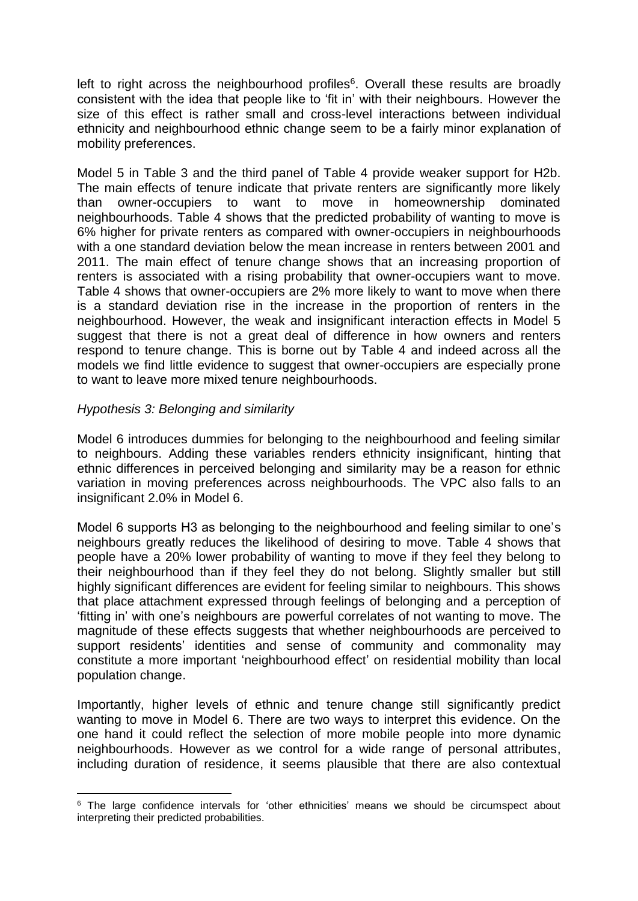left to right across the neighbourhood profiles $6$ . Overall these results are broadly consistent with the idea that people like to 'fit in' with their neighbours. However the size of this effect is rather small and cross-level interactions between individual ethnicity and neighbourhood ethnic change seem to be a fairly minor explanation of mobility preferences.

Model 5 in Table 3 and the third panel of Table 4 provide weaker support for H2b. The main effects of tenure indicate that private renters are significantly more likely than owner-occupiers to want to move in homeownership dominated neighbourhoods. Table 4 shows that the predicted probability of wanting to move is 6% higher for private renters as compared with owner-occupiers in neighbourhoods with a one standard deviation below the mean increase in renters between 2001 and 2011. The main effect of tenure change shows that an increasing proportion of renters is associated with a rising probability that owner-occupiers want to move. Table 4 shows that owner-occupiers are 2% more likely to want to move when there is a standard deviation rise in the increase in the proportion of renters in the neighbourhood. However, the weak and insignificant interaction effects in Model 5 suggest that there is not a great deal of difference in how owners and renters respond to tenure change. This is borne out by Table 4 and indeed across all the models we find little evidence to suggest that owner-occupiers are especially prone to want to leave more mixed tenure neighbourhoods.

# *Hypothesis 3: Belonging and similarity*

Model 6 introduces dummies for belonging to the neighbourhood and feeling similar to neighbours. Adding these variables renders ethnicity insignificant, hinting that ethnic differences in perceived belonging and similarity may be a reason for ethnic variation in moving preferences across neighbourhoods. The VPC also falls to an insignificant 2.0% in Model 6.

Model 6 supports H3 as belonging to the neighbourhood and feeling similar to one's neighbours greatly reduces the likelihood of desiring to move. Table 4 shows that people have a 20% lower probability of wanting to move if they feel they belong to their neighbourhood than if they feel they do not belong. Slightly smaller but still highly significant differences are evident for feeling similar to neighbours. This shows that place attachment expressed through feelings of belonging and a perception of 'fitting in' with one's neighbours are powerful correlates of not wanting to move. The magnitude of these effects suggests that whether neighbourhoods are perceived to support residents' identities and sense of community and commonality may constitute a more important 'neighbourhood effect' on residential mobility than local population change.

Importantly, higher levels of ethnic and tenure change still significantly predict wanting to move in Model 6. There are two ways to interpret this evidence. On the one hand it could reflect the selection of more mobile people into more dynamic neighbourhoods. However as we control for a wide range of personal attributes, including duration of residence, it seems plausible that there are also contextual

**<sup>.</sup>** <sup>6</sup> The large confidence intervals for 'other ethnicities' means we should be circumspect about interpreting their predicted probabilities.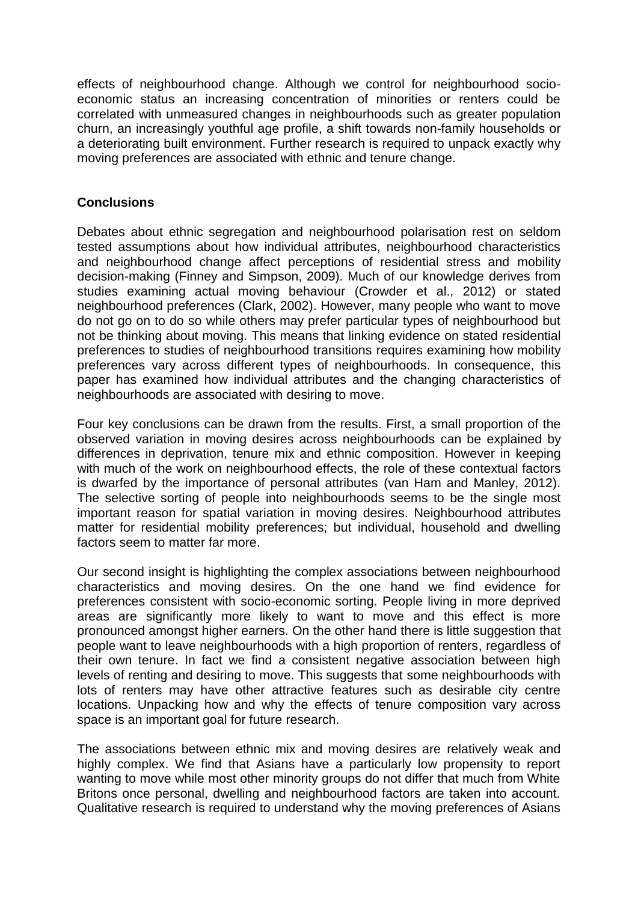effects of neighbourhood change. Although we control for neighbourhood socioeconomic status an increasing concentration of minorities or renters could be correlated with unmeasured changes in neighbourhoods such as greater population churn, an increasingly youthful age profile, a shift towards non-family households or a deteriorating built environment. Further research is required to unpack exactly why moving preferences are associated with ethnic and tenure change.

## **Conclusions**

Debates about ethnic segregation and neighbourhood polarisation rest on seldom tested assumptions about how individual attributes, neighbourhood characteristics and neighbourhood change affect perceptions of residential stress and mobility decision-making (Finney and Simpson, 2009). Much of our knowledge derives from studies examining actual moving behaviour (Crowder et al., 2012) or stated neighbourhood preferences (Clark, 2002). However, many people who want to move do not go on to do so while others may prefer particular types of neighbourhood but not be thinking about moving. This means that linking evidence on stated residential preferences to studies of neighbourhood transitions requires examining how mobility preferences vary across different types of neighbourhoods. In consequence, this paper has examined how individual attributes and the changing characteristics of neighbourhoods are associated with desiring to move.

Four key conclusions can be drawn from the results. First, a small proportion of the observed variation in moving desires across neighbourhoods can be explained by differences in deprivation, tenure mix and ethnic composition. However in keeping with much of the work on neighbourhood effects, the role of these contextual factors is dwarfed by the importance of personal attributes (van Ham and Manley, 2012). The selective sorting of people into neighbourhoods seems to be the single most important reason for spatial variation in moving desires. Neighbourhood attributes matter for residential mobility preferences; but individual, household and dwelling factors seem to matter far more.

Our second insight is highlighting the complex associations between neighbourhood characteristics and moving desires. On the one hand we find evidence for preferences consistent with socio-economic sorting. People living in more deprived areas are significantly more likely to want to move and this effect is more pronounced amongst higher earners. On the other hand there is little suggestion that people want to leave neighbourhoods with a high proportion of renters, regardless of their own tenure. In fact we find a consistent negative association between high levels of renting and desiring to move. This suggests that some neighbourhoods with lots of renters may have other attractive features such as desirable city centre locations. Unpacking how and why the effects of tenure composition vary across space is an important goal for future research.

The associations between ethnic mix and moving desires are relatively weak and highly complex. We find that Asians have a particularly low propensity to report wanting to move while most other minority groups do not differ that much from White Britons once personal, dwelling and neighbourhood factors are taken into account. Qualitative research is required to understand why the moving preferences of Asians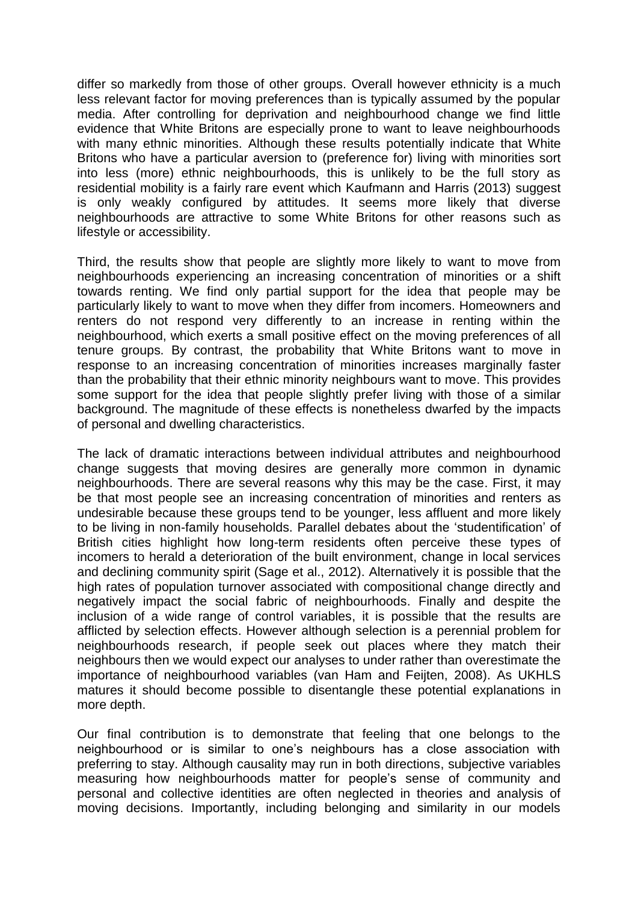differ so markedly from those of other groups. Overall however ethnicity is a much less relevant factor for moving preferences than is typically assumed by the popular media. After controlling for deprivation and neighbourhood change we find little evidence that White Britons are especially prone to want to leave neighbourhoods with many ethnic minorities. Although these results potentially indicate that White Britons who have a particular aversion to (preference for) living with minorities sort into less (more) ethnic neighbourhoods, this is unlikely to be the full story as residential mobility is a fairly rare event which Kaufmann and Harris (2013) suggest is only weakly configured by attitudes. It seems more likely that diverse neighbourhoods are attractive to some White Britons for other reasons such as lifestyle or accessibility.

Third, the results show that people are slightly more likely to want to move from neighbourhoods experiencing an increasing concentration of minorities or a shift towards renting. We find only partial support for the idea that people may be particularly likely to want to move when they differ from incomers. Homeowners and renters do not respond very differently to an increase in renting within the neighbourhood, which exerts a small positive effect on the moving preferences of all tenure groups. By contrast, the probability that White Britons want to move in response to an increasing concentration of minorities increases marginally faster than the probability that their ethnic minority neighbours want to move. This provides some support for the idea that people slightly prefer living with those of a similar background. The magnitude of these effects is nonetheless dwarfed by the impacts of personal and dwelling characteristics.

The lack of dramatic interactions between individual attributes and neighbourhood change suggests that moving desires are generally more common in dynamic neighbourhoods. There are several reasons why this may be the case. First, it may be that most people see an increasing concentration of minorities and renters as undesirable because these groups tend to be younger, less affluent and more likely to be living in non-family households. Parallel debates about the 'studentification' of British cities highlight how long-term residents often perceive these types of incomers to herald a deterioration of the built environment, change in local services and declining community spirit (Sage et al., 2012). Alternatively it is possible that the high rates of population turnover associated with compositional change directly and negatively impact the social fabric of neighbourhoods. Finally and despite the inclusion of a wide range of control variables, it is possible that the results are afflicted by selection effects. However although selection is a perennial problem for neighbourhoods research, if people seek out places where they match their neighbours then we would expect our analyses to under rather than overestimate the importance of neighbourhood variables (van Ham and Feijten, 2008). As UKHLS matures it should become possible to disentangle these potential explanations in more depth.

Our final contribution is to demonstrate that feeling that one belongs to the neighbourhood or is similar to one's neighbours has a close association with preferring to stay. Although causality may run in both directions, subjective variables measuring how neighbourhoods matter for people's sense of community and personal and collective identities are often neglected in theories and analysis of moving decisions. Importantly, including belonging and similarity in our models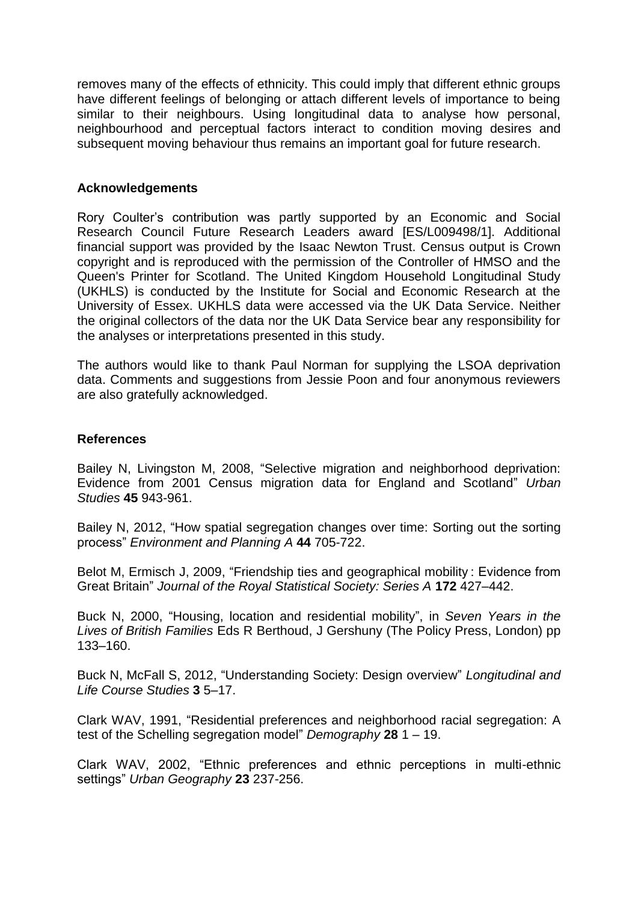removes many of the effects of ethnicity. This could imply that different ethnic groups have different feelings of belonging or attach different levels of importance to being similar to their neighbours. Using longitudinal data to analyse how personal, neighbourhood and perceptual factors interact to condition moving desires and subsequent moving behaviour thus remains an important goal for future research.

#### **Acknowledgements**

Rory Coulter's contribution was partly supported by an Economic and Social Research Council Future Research Leaders award [ES/L009498/1]. Additional financial support was provided by the Isaac Newton Trust. Census output is Crown copyright and is reproduced with the permission of the Controller of HMSO and the Queen's Printer for Scotland. The United Kingdom Household Longitudinal Study (UKHLS) is conducted by the Institute for Social and Economic Research at the University of Essex. UKHLS data were accessed via the UK Data Service. Neither the original collectors of the data nor the UK Data Service bear any responsibility for the analyses or interpretations presented in this study.

The authors would like to thank Paul Norman for supplying the LSOA deprivation data. Comments and suggestions from Jessie Poon and four anonymous reviewers are also gratefully acknowledged.

#### **References**

Bailey N, Livingston M, 2008, "Selective migration and neighborhood deprivation: Evidence from 2001 Census migration data for England and Scotland" *Urban Studies* **45** 943-961.

Bailey N, 2012, "How spatial segregation changes over time: Sorting out the sorting process" *Environment and Planning A* **44** 705-722.

Belot M, Ermisch J, 2009, "Friendship ties and geographical mobility : Evidence from Great Britain" *Journal of the Royal Statistical Society: Series A* **172** 427–442.

Buck N, 2000, "Housing, location and residential mobility", in *Seven Years in the Lives of British Families* Eds R Berthoud, J Gershuny (The Policy Press, London) pp 133–160.

Buck N, McFall S, 2012, "Understanding Society: Design overview" *Longitudinal and Life Course Studies* **3** 5–17.

Clark WAV, 1991, "Residential preferences and neighborhood racial segregation: A test of the Schelling segregation model" *Demography* **28** 1 – 19.

Clark WAV, 2002, "Ethnic preferences and ethnic perceptions in multi-ethnic settings" *Urban Geography* **23** 237-256.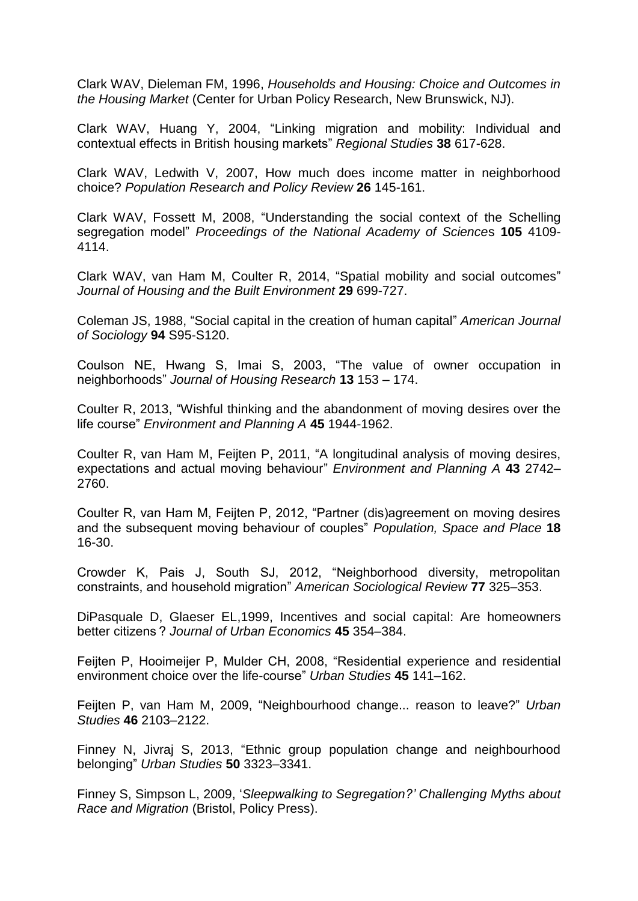Clark WAV, Dieleman FM, 1996, *Households and Housing: Choice and Outcomes in the Housing Market* (Center for Urban Policy Research, New Brunswick, NJ).

Clark WAV, Huang Y, 2004, "Linking migration and mobility: Individual and contextual effects in British housing markets" *Regional Studies* **38** 617-628.

Clark WAV, Ledwith V, 2007, How much does income matter in neighborhood choice? *Population Research and Policy Review* **26** 145-161.

Clark WAV, Fossett M, 2008, "Understanding the social context of the Schelling segregation model" *Proceedings of the National Academy of Science*s **105** 4109- 4114.

Clark WAV, van Ham M, Coulter R, 2014, "Spatial mobility and social outcomes" *Journal of Housing and the Built Environment* **29** 699-727.

Coleman JS, 1988, "Social capital in the creation of human capital" *American Journal of Sociology* **94** S95-S120.

Coulson NE, Hwang S, Imai S, 2003, "The value of owner occupation in neighborhoods" *Journal of Housing Research* **13** 153 – 174.

Coulter R, 2013, "Wishful thinking and the abandonment of moving desires over the life course" *Environment and Planning A* **45** 1944-1962.

Coulter R, van Ham M, Feijten P, 2011, "A longitudinal analysis of moving desires, expectations and actual moving behaviour" *Environment and Planning A* **43** 2742– 2760.

Coulter R, van Ham M, Feijten P, 2012, "Partner (dis)agreement on moving desires and the subsequent moving behaviour of couples" *Population, Space and Place* **18** 16-30.

Crowder K, Pais J, South SJ, 2012, "Neighborhood diversity, metropolitan constraints, and household migration" *American Sociological Review* **77** 325–353.

DiPasquale D, Glaeser EL,1999, Incentives and social capital: Are homeowners better citizens ? *Journal of Urban Economics* **45** 354–384.

Feijten P, Hooimeijer P, Mulder CH, 2008, "Residential experience and residential environment choice over the life-course" *Urban Studies* **45** 141–162.

Feijten P, van Ham M, 2009, "Neighbourhood change... reason to leave?" *Urban Studies* **46** 2103–2122.

Finney N, Jivraj S, 2013, "Ethnic group population change and neighbourhood belonging" *Urban Studies* **50** 3323–3341.

Finney S, Simpson L, 2009, '*Sleepwalking to Segregation?' Challenging Myths about Race and Migration* (Bristol, Policy Press).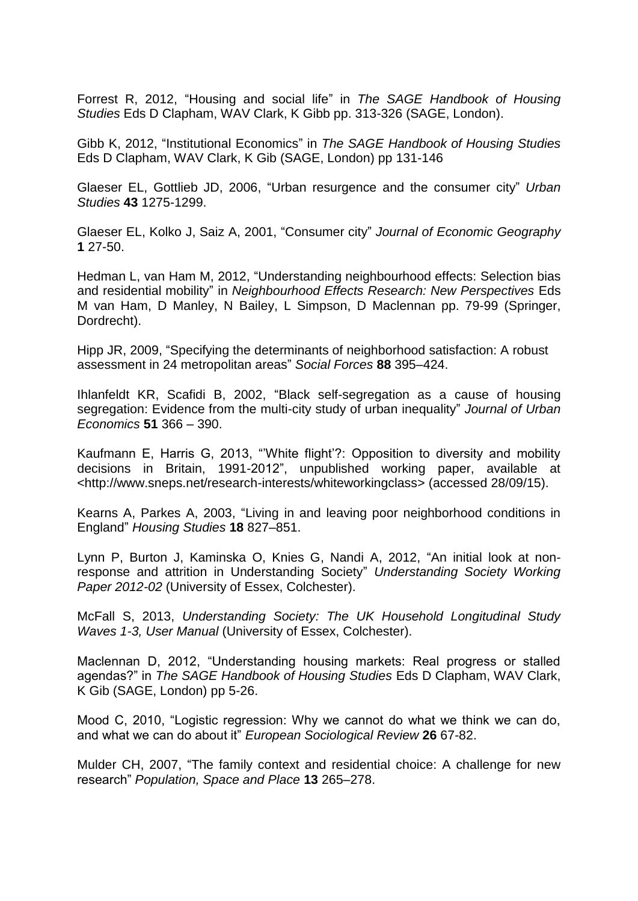Forrest R, 2012, "Housing and social life" in *The SAGE Handbook of Housing Studies* Eds D Clapham, WAV Clark, K Gibb pp. 313-326 (SAGE, London).

Gibb K, 2012, "Institutional Economics" in *The SAGE Handbook of Housing Studies* Eds D Clapham, WAV Clark, K Gib (SAGE, London) pp 131-146

Glaeser EL, Gottlieb JD, 2006, "Urban resurgence and the consumer city" *Urban Studies* **43** 1275-1299.

Glaeser EL, Kolko J, Saiz A, 2001, "Consumer city" *Journal of Economic Geography* **1** 27-50.

Hedman L, van Ham M, 2012, "Understanding neighbourhood effects: Selection bias and residential mobility" in *Neighbourhood Effects Research: New Perspectives* Eds M van Ham, D Manley, N Bailey, L Simpson, D Maclennan pp. 79-99 (Springer, Dordrecht).

Hipp JR, 2009, "Specifying the determinants of neighborhood satisfaction: A robust assessment in 24 metropolitan areas" *Social Forces* **88** 395–424.

Ihlanfeldt KR, Scafidi B, 2002, "Black self-segregation as a cause of housing segregation: Evidence from the multi-city study of urban inequality" *Journal of Urban Economics* **51** 366 – 390.

Kaufmann E, Harris G, 2013, "'White flight'?: Opposition to diversity and mobility decisions in Britain, 1991-2012", unpublished working paper, available at <http://www.sneps.net/research-interests/whiteworkingclass> (accessed 28/09/15).

Kearns A, Parkes A, 2003, "Living in and leaving poor neighborhood conditions in England" *Housing Studies* **18** 827–851.

Lynn P, Burton J, Kaminska O, Knies G, Nandi A, 2012, "An initial look at nonresponse and attrition in Understanding Society" *Understanding Society Working Paper 2012-02* (University of Essex, Colchester).

McFall S, 2013, *Understanding Society: The UK Household Longitudinal Study Waves 1-3, User Manual* (University of Essex, Colchester).

Maclennan D, 2012, "Understanding housing markets: Real progress or stalled agendas?" in *The SAGE Handbook of Housing Studies* Eds D Clapham, WAV Clark, K Gib (SAGE, London) pp 5-26.

Mood C, 2010, "Logistic regression: Why we cannot do what we think we can do, and what we can do about it" *European Sociological Review* **26** 67-82.

Mulder CH, 2007, "The family context and residential choice: A challenge for new research" *Population, Space and Place* **13** 265–278.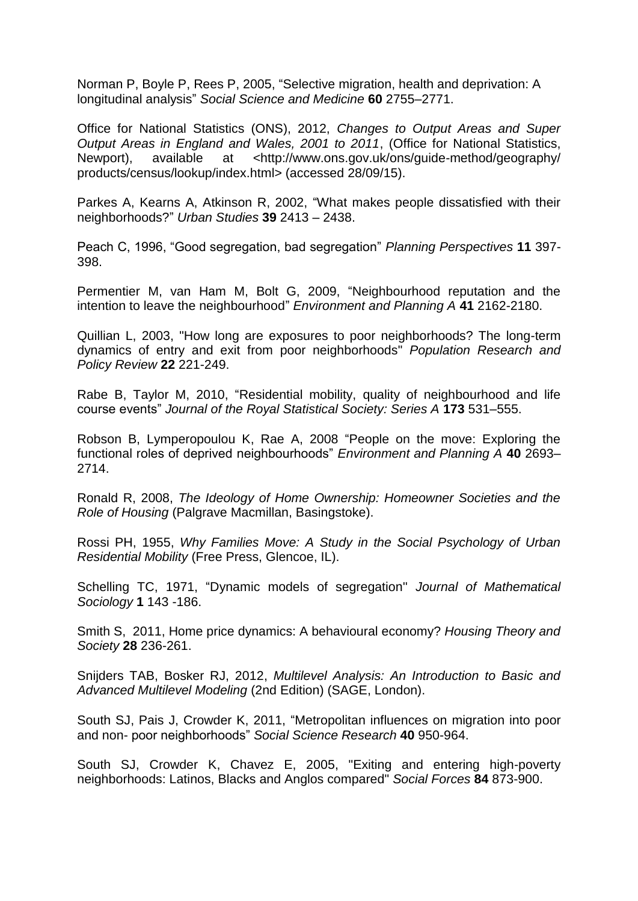Norman P, Boyle P, Rees P, 2005, "Selective migration, health and deprivation: A longitudinal analysis" *Social Science and Medicine* **60** 2755–2771.

Office for National Statistics (ONS), 2012, *Changes to Output Areas and Super Output Areas in England and Wales, 2001 to 2011*, (Office for National Statistics, Newport), available at <http://www.ons.gov.uk/ons/guide-method/geography/ products/census/lookup/index.html> (accessed 28/09/15).

Parkes A, Kearns A, Atkinson R, 2002, "What makes people dissatisfied with their neighborhoods?" *Urban Studies* **39** 2413 – 2438.

Peach C, 1996, "Good segregation, bad segregation" *Planning Perspectives* **11** 397- 398.

Permentier M, van Ham M, Bolt G, 2009, "Neighbourhood reputation and the intention to leave the neighbourhood" *Environment and Planning A* **41** 2162-2180.

Quillian L, 2003, "How long are exposures to poor neighborhoods? The long-term dynamics of entry and exit from poor neighborhoods" *Population Research and Policy Review* **22** 221-249.

Rabe B, Taylor M, 2010, "Residential mobility, quality of neighbourhood and life course events" *Journal of the Royal Statistical Society: Series A* **173** 531–555.

Robson B, Lymperopoulou K, Rae A, 2008 "People on the move: Exploring the functional roles of deprived neighbourhoods" *Environment and Planning A* **40** 2693– 2714.

Ronald R, 2008, *The Ideology of Home Ownership: Homeowner Societies and the Role of Housing* (Palgrave Macmillan, Basingstoke).

Rossi PH, 1955, *Why Families Move: A Study in the Social Psychology of Urban Residential Mobility* (Free Press, Glencoe, IL).

Schelling TC, 1971, "Dynamic models of segregation'' *Journal of Mathematical Sociology* **1** 143 -186.

Smith S, 2011, Home price dynamics: A behavioural economy? *Housing Theory and Society* **28** 236-261.

Snijders TAB, Bosker RJ, 2012, *Multilevel Analysis: An Introduction to Basic and Advanced Multilevel Modeling* (2nd Edition) (SAGE, London).

South SJ, Pais J, Crowder K, 2011, "Metropolitan influences on migration into poor and non- poor neighborhoods" *Social Science Research* **40** 950-964.

South SJ, Crowder K, Chavez E, 2005, "Exiting and entering high-poverty neighborhoods: Latinos, Blacks and Anglos compared" *Social Forces* **84** 873-900.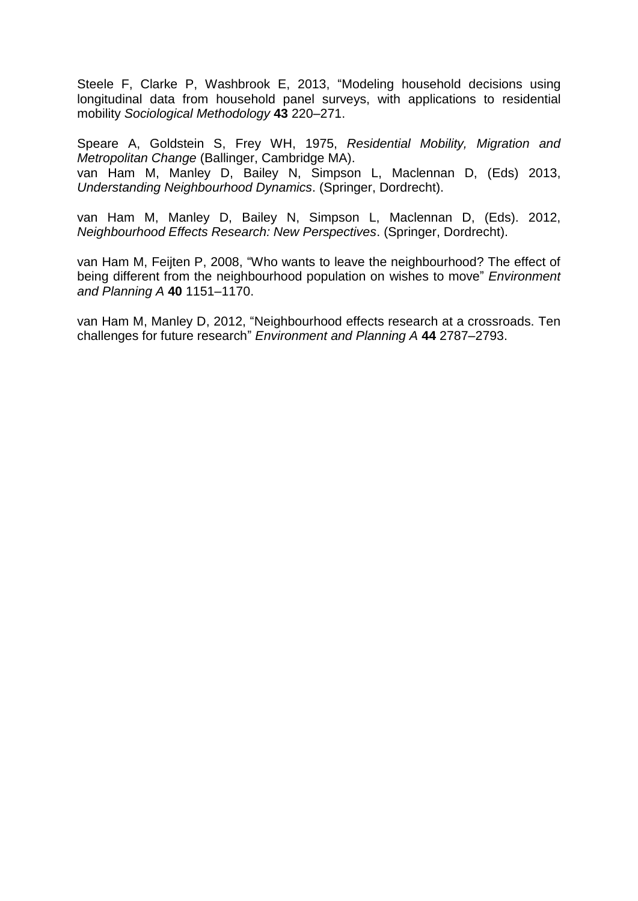Steele F, Clarke P, Washbrook E, 2013, "Modeling household decisions using longitudinal data from household panel surveys, with applications to residential mobility *Sociological Methodology* **43** 220–271.

Speare A, Goldstein S, Frey WH, 1975, *Residential Mobility, Migration and Metropolitan Change* (Ballinger, Cambridge MA). van Ham M, Manley D, Bailey N, Simpson L, Maclennan D, (Eds) 2013, *Understanding Neighbourhood Dynamics*. (Springer, Dordrecht).

van Ham M, Manley D, Bailey N, Simpson L, Maclennan D, (Eds). 2012, *Neighbourhood Effects Research: New Perspectives*. (Springer, Dordrecht).

van Ham M, Feijten P, 2008, "Who wants to leave the neighbourhood? The effect of being different from the neighbourhood population on wishes to move" *Environment and Planning A* **40** 1151–1170.

van Ham M, Manley D, 2012, "Neighbourhood effects research at a crossroads. Ten challenges for future research" *Environment and Planning A* **44** 2787–2793.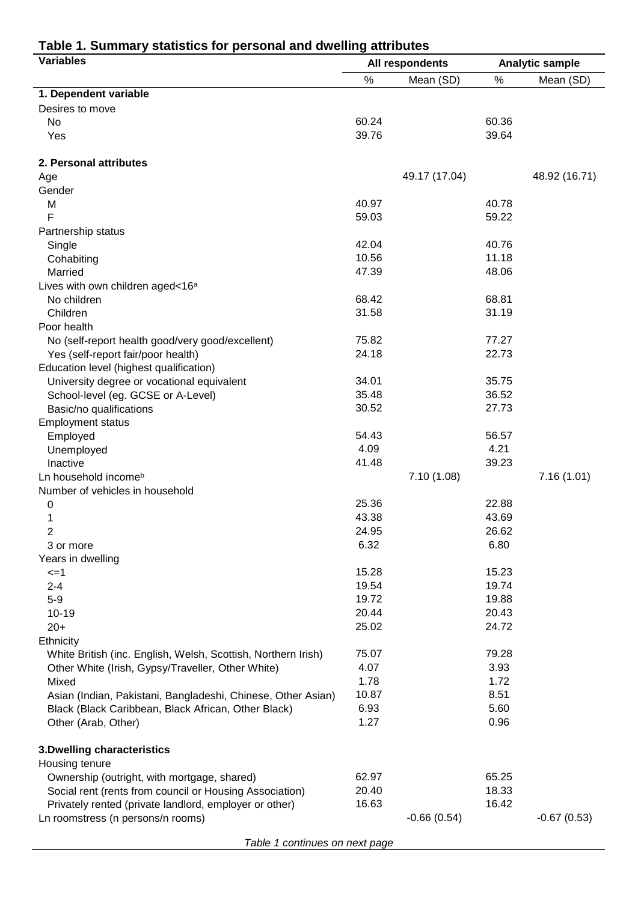| Table 1. Summary statistics for personal and dwelling attributes                                                    |               |                 |              |                 |  |  |
|---------------------------------------------------------------------------------------------------------------------|---------------|-----------------|--------------|-----------------|--|--|
| <b>Variables</b>                                                                                                    |               | All respondents |              | Analytic sample |  |  |
|                                                                                                                     | $\%$          | Mean (SD)       | $\%$         | Mean (SD)       |  |  |
| 1. Dependent variable                                                                                               |               |                 |              |                 |  |  |
| Desires to move                                                                                                     |               |                 |              |                 |  |  |
| No                                                                                                                  | 60.24         |                 | 60.36        |                 |  |  |
| Yes                                                                                                                 | 39.76         |                 | 39.64        |                 |  |  |
|                                                                                                                     |               |                 |              |                 |  |  |
| 2. Personal attributes                                                                                              |               |                 |              |                 |  |  |
| Age                                                                                                                 |               | 49.17 (17.04)   |              | 48.92 (16.71)   |  |  |
| Gender<br>M                                                                                                         | 40.97         |                 | 40.78        |                 |  |  |
| F                                                                                                                   | 59.03         |                 | 59.22        |                 |  |  |
| Partnership status                                                                                                  |               |                 |              |                 |  |  |
| Single                                                                                                              | 42.04         |                 | 40.76        |                 |  |  |
| Cohabiting                                                                                                          | 10.56         |                 | 11.18        |                 |  |  |
| Married                                                                                                             | 47.39         |                 | 48.06        |                 |  |  |
| Lives with own children aged<16 <sup>a</sup>                                                                        |               |                 |              |                 |  |  |
| No children                                                                                                         | 68.42         |                 | 68.81        |                 |  |  |
| Children                                                                                                            | 31.58         |                 | 31.19        |                 |  |  |
| Poor health                                                                                                         |               |                 |              |                 |  |  |
| No (self-report health good/very good/excellent)                                                                    | 75.82         |                 | 77.27        |                 |  |  |
| Yes (self-report fair/poor health)                                                                                  | 24.18         |                 | 22.73        |                 |  |  |
| Education level (highest qualification)                                                                             |               |                 |              |                 |  |  |
| University degree or vocational equivalent                                                                          | 34.01         |                 | 35.75        |                 |  |  |
| School-level (eg. GCSE or A-Level)                                                                                  | 35.48         |                 | 36.52        |                 |  |  |
| Basic/no qualifications                                                                                             | 30.52         |                 | 27.73        |                 |  |  |
| <b>Employment status</b>                                                                                            | 54.43         |                 | 56.57        |                 |  |  |
| Employed<br>Unemployed                                                                                              | 4.09          |                 | 4.21         |                 |  |  |
| Inactive                                                                                                            | 41.48         |                 | 39.23        |                 |  |  |
| Ln household income <sup>b</sup>                                                                                    |               | 7.10(1.08)      |              | 7.16(1.01)      |  |  |
| Number of vehicles in household                                                                                     |               |                 |              |                 |  |  |
| $\pmb{0}$                                                                                                           | 25.36         |                 | 22.88        |                 |  |  |
| 1                                                                                                                   | 43.38         |                 | 43.69        |                 |  |  |
| $\overline{2}$                                                                                                      | 24.95         |                 | 26.62        |                 |  |  |
| 3 or more                                                                                                           | 6.32          |                 | 6.80         |                 |  |  |
| Years in dwelling                                                                                                   |               |                 |              |                 |  |  |
| $\leq$ =1                                                                                                           | 15.28         |                 | 15.23        |                 |  |  |
| $2 - 4$                                                                                                             | 19.54         |                 | 19.74        |                 |  |  |
| $5-9$                                                                                                               | 19.72         |                 | 19.88        |                 |  |  |
| $10 - 19$                                                                                                           | 20.44         |                 | 20.43        |                 |  |  |
| $20+$                                                                                                               | 25.02         |                 | 24.72        |                 |  |  |
| Ethnicity                                                                                                           |               |                 |              |                 |  |  |
| White British (inc. English, Welsh, Scottish, Northern Irish)                                                       | 75.07         |                 | 79.28        |                 |  |  |
| Other White (Irish, Gypsy/Traveller, Other White)                                                                   | 4.07          |                 | 3.93         |                 |  |  |
| Mixed                                                                                                               | 1.78<br>10.87 |                 | 1.72<br>8.51 |                 |  |  |
| Asian (Indian, Pakistani, Bangladeshi, Chinese, Other Asian)<br>Black (Black Caribbean, Black African, Other Black) | 6.93          |                 | 5.60         |                 |  |  |
| Other (Arab, Other)                                                                                                 | 1.27          |                 | 0.96         |                 |  |  |
|                                                                                                                     |               |                 |              |                 |  |  |
| 3. Dwelling characteristics                                                                                         |               |                 |              |                 |  |  |
| Housing tenure                                                                                                      |               |                 |              |                 |  |  |
| Ownership (outright, with mortgage, shared)                                                                         | 62.97         |                 | 65.25        |                 |  |  |
| Social rent (rents from council or Housing Association)                                                             | 20.40         |                 | 18.33        |                 |  |  |
| Privately rented (private landlord, employer or other)                                                              | 16.63         |                 | 16.42        |                 |  |  |
| Ln roomstress (n persons/n rooms)                                                                                   |               | $-0.66(0.54)$   |              | $-0.67(0.53)$   |  |  |
|                                                                                                                     |               |                 |              |                 |  |  |
| Table 1 continues on next page                                                                                      |               |                 |              |                 |  |  |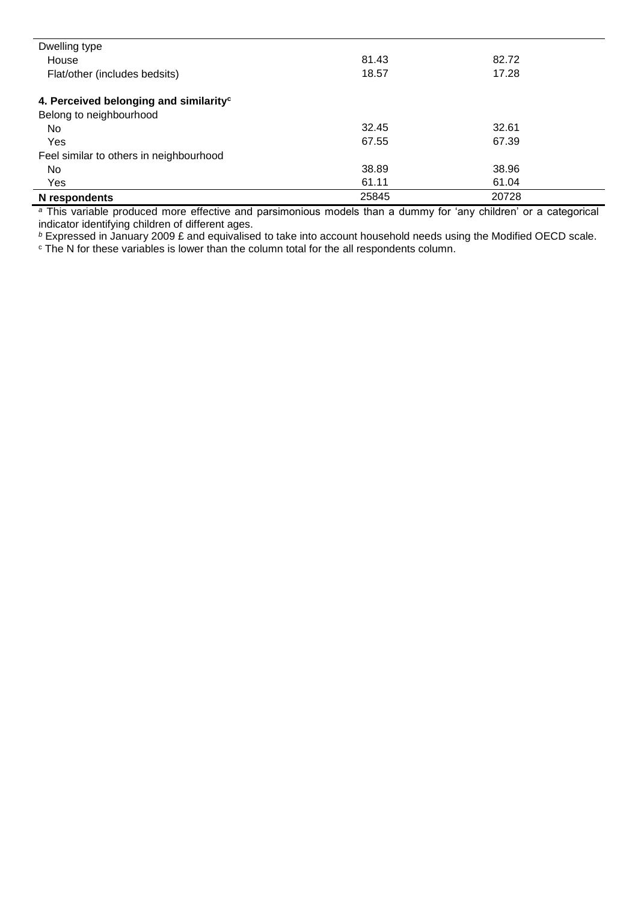| Dwelling type                                      |       |       |  |
|----------------------------------------------------|-------|-------|--|
| House                                              | 81.43 | 82.72 |  |
| Flat/other (includes bedsits)                      | 18.57 | 17.28 |  |
| 4. Perceived belonging and similarity <sup>c</sup> |       |       |  |
| Belong to neighbourhood                            |       |       |  |
| No.                                                | 32.45 | 32.61 |  |
| Yes                                                | 67.55 | 67.39 |  |
| Feel similar to others in neighbourhood            |       |       |  |
| No.                                                | 38.89 | 38.96 |  |
| Yes                                                | 61.11 | 61.04 |  |
| N respondents                                      | 25845 | 20728 |  |

*<sup>a</sup>* This variable produced more effective and parsimonious models than a dummy for 'any children' or a categorical indicator identifying children of different ages.

*<sup>b</sup>* Expressed in January 2009 £ and equivalised to take into account household needs using the Modified OECD scale.

<sup>c</sup> The N for these variables is lower than the column total for the all respondents column.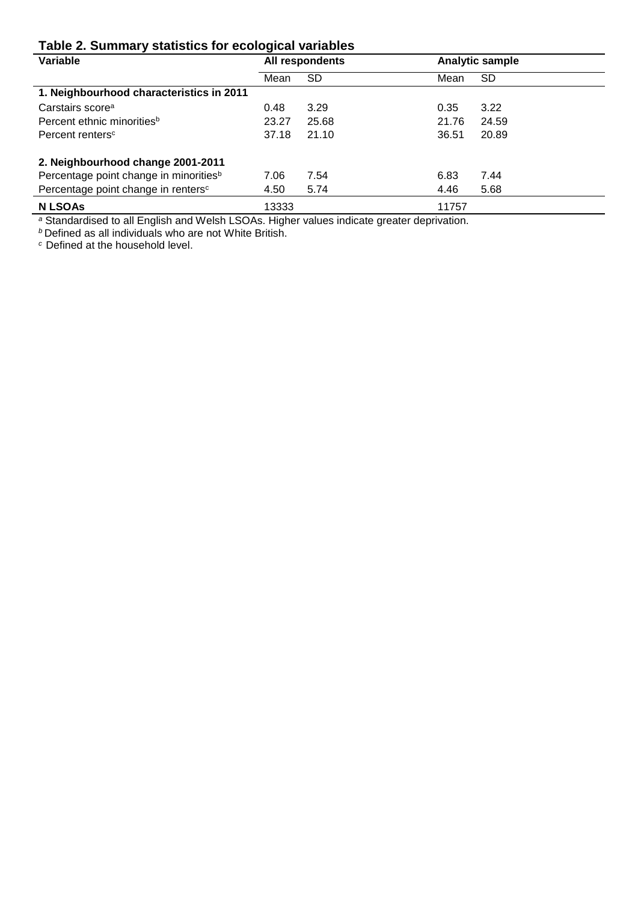# **Table 2. Summary statistics for ecological variables**

|                                                    | ີ     |                 |       |                        |  |
|----------------------------------------------------|-------|-----------------|-------|------------------------|--|
| Variable                                           |       | All respondents |       | <b>Analytic sample</b> |  |
|                                                    | Mean  | SD              | Mean  | SD.                    |  |
| 1. Neighbourhood characteristics in 2011           |       |                 |       |                        |  |
| Carstairs score <sup>a</sup>                       | 0.48  | 3.29            | 0.35  | 3.22                   |  |
| Percent ethnic minorities <sup>b</sup>             | 23.27 | 25.68           | 21.76 | 24.59                  |  |
| Percent renters <sup>c</sup>                       | 37.18 | 21.10           | 36.51 | 20.89                  |  |
| 2. Neighbourhood change 2001-2011                  |       |                 |       |                        |  |
| Percentage point change in minorities <sup>b</sup> | 7.06  | 7.54            | 6.83  | 7.44                   |  |
| Percentage point change in renters <sup>c</sup>    | 4.50  | 5.74            | 4.46  | 5.68                   |  |
| <b>N LSOAs</b>                                     | 13333 |                 | 11757 |                        |  |

*<sup>a</sup>* Standardised to all English and Welsh LSOAs. Higher values indicate greater deprivation.

*<sup>b</sup>* Defined as all individuals who are not White British.

*c* Defined at the household level.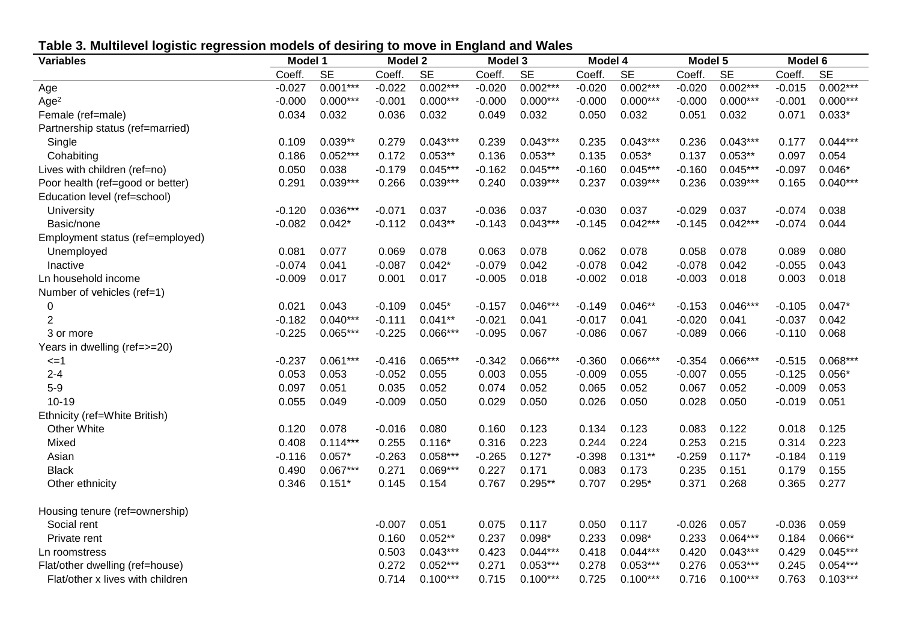**Table 3. Multilevel logistic regression models of desiring to move in England and Wales** 

| <b>Variables</b>                 |          | Model 1    |          | Model 2    |          | Model 3    |          | Model 4    |          | Model 5    |          | Model 6    |  |
|----------------------------------|----------|------------|----------|------------|----------|------------|----------|------------|----------|------------|----------|------------|--|
|                                  | Coeff.   | <b>SE</b>  | Coeff.   | <b>SE</b>  | Coeff.   | <b>SE</b>  | Coeff.   | <b>SE</b>  | Coeff.   | <b>SE</b>  | Coeff.   | <b>SE</b>  |  |
| Age                              | $-0.027$ | $0.001***$ | $-0.022$ | $0.002***$ | $-0.020$ | $0.002***$ | $-0.020$ | $0.002***$ | $-0.020$ | $0.002***$ | $-0.015$ | $0.002***$ |  |
| Age <sup>2</sup>                 | $-0.000$ | $0.000***$ | $-0.001$ | $0.000***$ | $-0.000$ | $0.000***$ | $-0.000$ | $0.000***$ | $-0.000$ | $0.000***$ | $-0.001$ | $0.000***$ |  |
| Female (ref=male)                | 0.034    | 0.032      | 0.036    | 0.032      | 0.049    | 0.032      | 0.050    | 0.032      | 0.051    | 0.032      | 0.071    | $0.033*$   |  |
| Partnership status (ref=married) |          |            |          |            |          |            |          |            |          |            |          |            |  |
| Single                           | 0.109    | $0.039**$  | 0.279    | $0.043***$ | 0.239    | $0.043***$ | 0.235    | $0.043***$ | 0.236    | $0.043***$ | 0.177    | $0.044***$ |  |
| Cohabiting                       | 0.186    | $0.052***$ | 0.172    | $0.053**$  | 0.136    | $0.053**$  | 0.135    | $0.053*$   | 0.137    | $0.053**$  | 0.097    | 0.054      |  |
| Lives with children (ref=no)     | 0.050    | 0.038      | $-0.179$ | $0.045***$ | $-0.162$ | $0.045***$ | $-0.160$ | $0.045***$ | $-0.160$ | $0.045***$ | $-0.097$ | $0.046*$   |  |
| Poor health (ref=good or better) | 0.291    | $0.039***$ | 0.266    | $0.039***$ | 0.240    | $0.039***$ | 0.237    | $0.039***$ | 0.236    | $0.039***$ | 0.165    | $0.040***$ |  |
| Education level (ref=school)     |          |            |          |            |          |            |          |            |          |            |          |            |  |
| University                       | $-0.120$ | $0.036***$ | $-0.071$ | 0.037      | $-0.036$ | 0.037      | $-0.030$ | 0.037      | $-0.029$ | 0.037      | $-0.074$ | 0.038      |  |
| Basic/none                       | $-0.082$ | $0.042*$   | $-0.112$ | $0.043**$  | $-0.143$ | $0.043***$ | $-0.145$ | $0.042***$ | $-0.145$ | $0.042***$ | $-0.074$ | 0.044      |  |
| Employment status (ref=employed) |          |            |          |            |          |            |          |            |          |            |          |            |  |
| Unemployed                       | 0.081    | 0.077      | 0.069    | 0.078      | 0.063    | 0.078      | 0.062    | 0.078      | 0.058    | 0.078      | 0.089    | 0.080      |  |
| Inactive                         | $-0.074$ | 0.041      | $-0.087$ | $0.042*$   | $-0.079$ | 0.042      | $-0.078$ | 0.042      | $-0.078$ | 0.042      | $-0.055$ | 0.043      |  |
| Ln household income              | $-0.009$ | 0.017      | 0.001    | 0.017      | $-0.005$ | 0.018      | $-0.002$ | 0.018      | $-0.003$ | 0.018      | 0.003    | 0.018      |  |
| Number of vehicles (ref=1)       |          |            |          |            |          |            |          |            |          |            |          |            |  |
| 0                                | 0.021    | 0.043      | $-0.109$ | $0.045*$   | $-0.157$ | $0.046***$ | $-0.149$ | $0.046**$  | $-0.153$ | $0.046***$ | $-0.105$ | $0.047*$   |  |
| $\overline{2}$                   | $-0.182$ | $0.040***$ | $-0.111$ | $0.041**$  | $-0.021$ | 0.041      | $-0.017$ | 0.041      | $-0.020$ | 0.041      | $-0.037$ | 0.042      |  |
| 3 or more                        | $-0.225$ | $0.065***$ | $-0.225$ | $0.066***$ | $-0.095$ | 0.067      | $-0.086$ | 0.067      | $-0.089$ | 0.066      | $-0.110$ | 0.068      |  |
| Years in dwelling (ref=>=20)     |          |            |          |            |          |            |          |            |          |            |          |            |  |
| <=1                              | $-0.237$ | $0.061***$ | $-0.416$ | $0.065***$ | $-0.342$ | 0.066***   | $-0.360$ | $0.066***$ | $-0.354$ | $0.066***$ | $-0.515$ | $0.068***$ |  |
| $2 - 4$                          | 0.053    | 0.053      | $-0.052$ | 0.055      | 0.003    | 0.055      | $-0.009$ | 0.055      | $-0.007$ | 0.055      | $-0.125$ | $0.056*$   |  |
| $5-9$                            | 0.097    | 0.051      | 0.035    | 0.052      | 0.074    | 0.052      | 0.065    | 0.052      | 0.067    | 0.052      | $-0.009$ | 0.053      |  |
| $10 - 19$                        | 0.055    | 0.049      | $-0.009$ | 0.050      | 0.029    | 0.050      | 0.026    | 0.050      | 0.028    | 0.050      | $-0.019$ | 0.051      |  |
| Ethnicity (ref=White British)    |          |            |          |            |          |            |          |            |          |            |          |            |  |
| <b>Other White</b>               | 0.120    | 0.078      | $-0.016$ | 0.080      | 0.160    | 0.123      | 0.134    | 0.123      | 0.083    | 0.122      | 0.018    | 0.125      |  |
| Mixed                            | 0.408    | $0.114***$ | 0.255    | $0.116*$   | 0.316    | 0.223      | 0.244    | 0.224      | 0.253    | 0.215      | 0.314    | 0.223      |  |
| Asian                            | $-0.116$ | $0.057*$   | $-0.263$ | $0.058***$ | $-0.265$ | $0.127*$   | $-0.398$ | $0.131**$  | $-0.259$ | $0.117*$   | $-0.184$ | 0.119      |  |
| <b>Black</b>                     | 0.490    | $0.067***$ | 0.271    | $0.069***$ | 0.227    | 0.171      | 0.083    | 0.173      | 0.235    | 0.151      | 0.179    | 0.155      |  |
| Other ethnicity                  | 0.346    | $0.151*$   | 0.145    | 0.154      | 0.767    | $0.295**$  | 0.707    | $0.295*$   | 0.371    | 0.268      | 0.365    | 0.277      |  |
| Housing tenure (ref=ownership)   |          |            |          |            |          |            |          |            |          |            |          |            |  |
| Social rent                      |          |            | $-0.007$ | 0.051      | 0.075    | 0.117      | 0.050    | 0.117      | $-0.026$ | 0.057      | $-0.036$ | 0.059      |  |
| Private rent                     |          |            | 0.160    | $0.052**$  | 0.237    | $0.098*$   | 0.233    | $0.098*$   | 0.233    | $0.064***$ | 0.184    | $0.066**$  |  |
| Ln roomstress                    |          |            | 0.503    | $0.043***$ | 0.423    | $0.044***$ | 0.418    | $0.044***$ | 0.420    | $0.043***$ | 0.429    | $0.045***$ |  |
| Flat/other dwelling (ref=house)  |          |            | 0.272    | $0.052***$ | 0.271    | $0.053***$ | 0.278    | $0.053***$ | 0.276    | $0.053***$ | 0.245    | $0.054***$ |  |
| Flat/other x lives with children |          |            | 0.714    | $0.100***$ | 0.715    | $0.100***$ | 0.725    | $0.100***$ | 0.716    | $0.100***$ | 0.763    | $0.103***$ |  |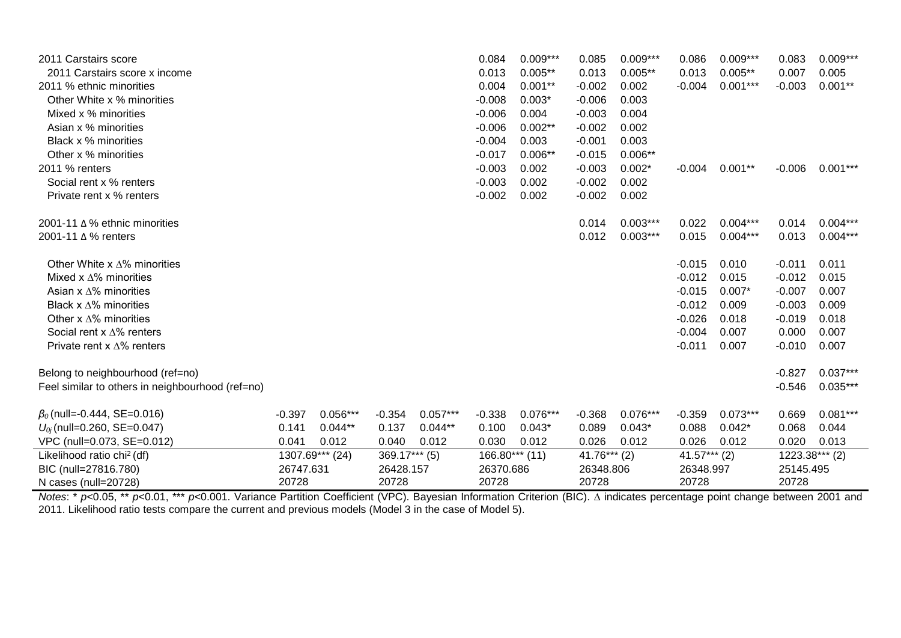| 2011 Carstairs score                             |           |                 |                 |            | 0.084            | $0.009***$ | 0.085          | $0.009***$ | 0.086          | $0.009***$ | 0.083            | $0.009***$ |
|--------------------------------------------------|-----------|-----------------|-----------------|------------|------------------|------------|----------------|------------|----------------|------------|------------------|------------|
| 2011 Carstairs score x income                    |           |                 |                 |            | 0.013            | $0.005**$  | 0.013          | $0.005**$  | 0.013          | $0.005**$  | 0.007            | 0.005      |
| 2011 % ethnic minorities                         |           |                 |                 |            | 0.004            | $0.001**$  | $-0.002$       | 0.002      | $-0.004$       | $0.001***$ | $-0.003$         | $0.001**$  |
| Other White x % minorities                       |           |                 |                 |            | $-0.008$         | $0.003*$   | $-0.006$       | 0.003      |                |            |                  |            |
| Mixed x % minorities                             |           |                 |                 |            | $-0.006$         | 0.004      | $-0.003$       | 0.004      |                |            |                  |            |
| Asian x % minorities                             |           |                 |                 |            | $-0.006$         | $0.002**$  | $-0.002$       | 0.002      |                |            |                  |            |
| Black x % minorities                             |           |                 |                 |            | $-0.004$         | 0.003      | $-0.001$       | 0.003      |                |            |                  |            |
| Other x % minorities                             |           |                 |                 |            | $-0.017$         | $0.006**$  | $-0.015$       | $0.006**$  |                |            |                  |            |
| 2011 % renters                                   |           |                 |                 |            | $-0.003$         | 0.002      | $-0.003$       | $0.002*$   | $-0.004$       | $0.001**$  | $-0.006$         | $0.001***$ |
| Social rent x % renters                          |           |                 |                 |            | $-0.003$         | 0.002      | $-0.002$       | 0.002      |                |            |                  |            |
| Private rent x % renters                         |           |                 |                 |            | $-0.002$         | 0.002      | $-0.002$       | 0.002      |                |            |                  |            |
| 2001-11 $\Delta$ % ethnic minorities             |           |                 |                 |            |                  |            | 0.014          | $0.003***$ | 0.022          | $0.004***$ | 0.014            | $0.004***$ |
| 2001-11 ∆ % renters                              |           |                 |                 |            |                  |            | 0.012          | $0.003***$ | 0.015          | $0.004***$ | 0.013            | $0.004***$ |
| Other White $x \Delta$ % minorities              |           |                 |                 |            |                  |            |                |            | $-0.015$       | 0.010      | $-0.011$         | 0.011      |
| Mixed x $\Delta\%$ minorities                    |           |                 |                 |            |                  |            |                |            | $-0.012$       | 0.015      | $-0.012$         | 0.015      |
| Asian $x \triangle $ % minorities                |           |                 |                 |            |                  |            |                |            | $-0.015$       | $0.007*$   | $-0.007$         | 0.007      |
| Black $x \Delta$ % minorities                    |           |                 |                 |            |                  |            |                |            | $-0.012$       | 0.009      | $-0.003$         | 0.009      |
| Other x $\Delta\%$ minorities                    |           |                 |                 |            |                  |            |                |            | $-0.026$       | 0.018      | $-0.019$         | 0.018      |
| Social rent $x \Delta$ % renters                 |           |                 |                 |            |                  |            |                |            | $-0.004$       | 0.007      | 0.000            | 0.007      |
| Private rent $x \Delta$ % renters                |           |                 |                 |            |                  |            |                |            | $-0.011$       | 0.007      | $-0.010$         | 0.007      |
| Belong to neighbourhood (ref=no)                 |           |                 |                 |            |                  |            |                |            |                |            | $-0.827$         | $0.037***$ |
| Feel similar to others in neighbourhood (ref=no) |           |                 |                 |            |                  |            |                |            |                |            | $-0.546$         | $0.035***$ |
| $\beta_0$ (null=-0.444, SE=0.016)                | $-0.397$  | $0.056***$      | $-0.354$        | $0.057***$ | $-0.338$         | $0.076***$ | $-0.368$       | $0.076***$ | $-0.359$       | $0.073***$ | 0.669            | $0.081***$ |
| $U_{0i}$ (null=0.260, SE=0.047)                  | 0.141     | $0.044**$       | 0.137           | $0.044**$  | 0.100            | $0.043*$   | 0.089          | $0.043*$   | 0.088          | $0.042*$   | 0.068            | 0.044      |
| VPC (null=0.073, SE=0.012)                       | 0.041     | 0.012           | 0.040           | 0.012      | 0.030            | 0.012      | 0.026          | 0.012      | 0.026          | 0.012      | 0.020            | 0.013      |
| Likelihood ratio chi <sup>2</sup> (df)           |           | 1307.69*** (24) | $369.17***$ (5) |            | $166.80***$ (11) |            | $41.76***$ (2) |            | $41.57***$ (2) |            | $1223.38***$ (2) |            |
| BIC (null=27816.780)                             | 26747.631 |                 | 26428.157       |            | 26370.686        |            | 26348.806      |            | 26348.997      |            | 25145.495        |            |
| N cases (null=20728)                             | 20728     |                 | 20728           |            | 20728            |            | 20728          |            | 20728          |            | 20728            |            |

ŗ ٦ 5  $\overline{\epsilon}$  $\overline{\phantom{a}}$ *Notes*: \* *p*<0.05, \*\* *p*<0.01, \*\*\* *p*<0.001. Variance Partition Coefficient (VPC). Bayesian Information Criterion (BIC). ∆ indicates percentage point change between 2001 and 2011. Likelihood ratio tests compare the current and previous models (Model 3 in the case of Model 5).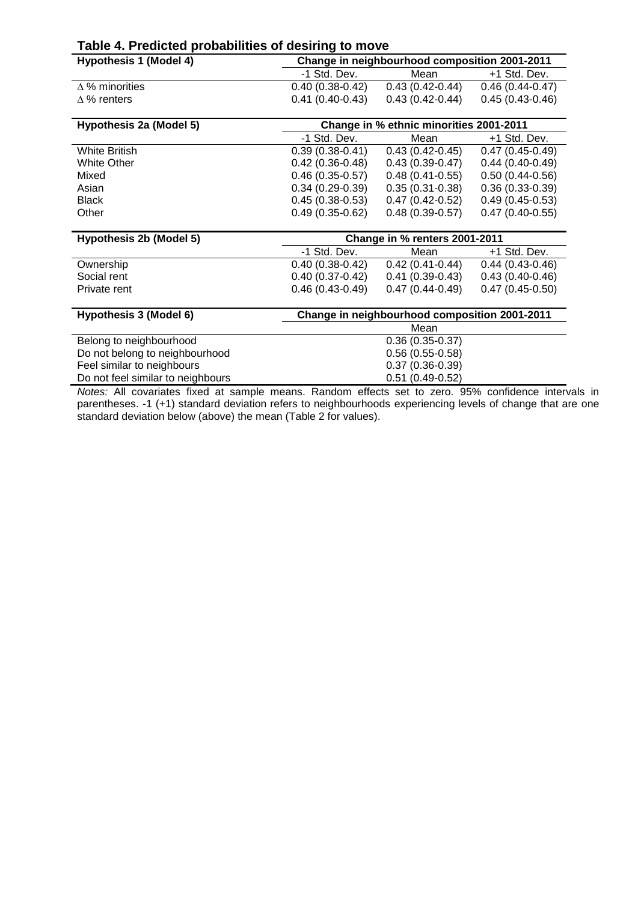| Table 4. Predicted probabilities of desiring to move |                   |                                               |                     |  |  |  |  |  |  |  |  |
|------------------------------------------------------|-------------------|-----------------------------------------------|---------------------|--|--|--|--|--|--|--|--|
| <b>Hypothesis 1 (Model 4)</b>                        |                   | Change in neighbourhood composition 2001-2011 |                     |  |  |  |  |  |  |  |  |
|                                                      | -1 Std. Dev.      | Mean                                          | +1 Std. Dev.        |  |  |  |  |  |  |  |  |
| $\Delta$ % minorities                                | $0.40(0.38-0.42)$ | $0.43(0.42 - 0.44)$                           | $0.46(0.44 - 0.47)$ |  |  |  |  |  |  |  |  |
| $\Delta$ % renters                                   | $0.41(0.40-0.43)$ | $0.43(0.42 - 0.44)$                           | $0.45(0.43 - 0.46)$ |  |  |  |  |  |  |  |  |
|                                                      |                   |                                               |                     |  |  |  |  |  |  |  |  |
| Hypothesis 2a (Model 5)                              |                   | Change in % ethnic minorities 2001-2011       |                     |  |  |  |  |  |  |  |  |
|                                                      | -1 Std. Dev.      | Mean                                          | +1 Std. Dev.        |  |  |  |  |  |  |  |  |
| <b>White British</b>                                 | $0.39(0.38-0.41)$ | $0.43(0.42-0.45)$                             | $0.47(0.45-0.49)$   |  |  |  |  |  |  |  |  |
| <b>White Other</b>                                   | $0.42(0.36-0.48)$ | $0.43(0.39 - 0.47)$                           | $0.44(0.40-0.49)$   |  |  |  |  |  |  |  |  |
| Mixed                                                | $0.46(0.35-0.57)$ | $0.48(0.41-0.55)$                             | $0.50(0.44 - 0.56)$ |  |  |  |  |  |  |  |  |
| Asian                                                | $0.34(0.29-0.39)$ | $0.35(0.31-0.38)$                             | $0.36(0.33 - 0.39)$ |  |  |  |  |  |  |  |  |
| <b>Black</b>                                         | $0.45(0.38-0.53)$ | $0.47(0.42-0.52)$                             | $0.49(0.45-0.53)$   |  |  |  |  |  |  |  |  |
| Other                                                | $0.49(0.35-0.62)$ | $0.48(0.39 - 0.57)$                           | $0.47(0.40-0.55)$   |  |  |  |  |  |  |  |  |
|                                                      |                   |                                               |                     |  |  |  |  |  |  |  |  |
| <b>Hypothesis 2b (Model 5)</b>                       |                   | <b>Change in % renters 2001-2011</b>          |                     |  |  |  |  |  |  |  |  |
|                                                      | -1 Std. Dev.      | Mean                                          | +1 Std. Dev.        |  |  |  |  |  |  |  |  |
| Ownership                                            | $0.40(0.38-0.42)$ | $0.42(0.41-0.44)$                             | $0.44(0.43-0.46)$   |  |  |  |  |  |  |  |  |
| Social rent                                          | $0.40(0.37-0.42)$ | $0.41(0.39-0.43)$                             | $0.43(0.40-0.46)$   |  |  |  |  |  |  |  |  |
| Private rent                                         | $0.46(0.43-0.49)$ | $0.47(0.44-0.49)$                             | $0.47(0.45-0.50)$   |  |  |  |  |  |  |  |  |
|                                                      |                   |                                               |                     |  |  |  |  |  |  |  |  |
| Hypothesis 3 (Model 6)                               |                   | Change in neighbourhood composition 2001-2011 |                     |  |  |  |  |  |  |  |  |
|                                                      |                   | Mean                                          |                     |  |  |  |  |  |  |  |  |
| Belong to neighbourhood                              |                   | $0.36(0.35-0.37)$                             |                     |  |  |  |  |  |  |  |  |
| Do not belong to neighbourhood                       |                   | $0.56(0.55-0.58)$                             |                     |  |  |  |  |  |  |  |  |
| Feel similar to neighbours                           |                   | $0.37(0.36-0.39)$                             |                     |  |  |  |  |  |  |  |  |
| Do not feel similar to neighbours                    |                   | $0.51(0.49-0.52)$                             |                     |  |  |  |  |  |  |  |  |

*Notes:* All covariates fixed at sample means. Random effects set to zero. 95% confidence intervals in parentheses. -1 (+1) standard deviation refers to neighbourhoods experiencing levels of change that are one standard deviation below (above) the mean (Table 2 for values).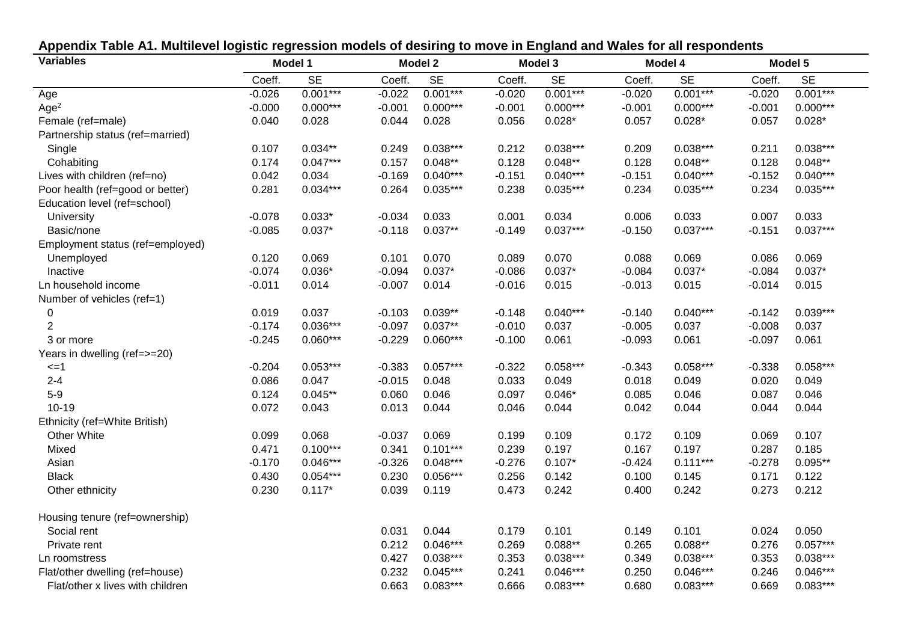| <b>Variables</b>                 |          | Model 1    |          | Model 2    |          | Model 3    |          | Model 4    |          | Model 5    |
|----------------------------------|----------|------------|----------|------------|----------|------------|----------|------------|----------|------------|
|                                  | Coeff.   | <b>SE</b>  | Coeff.   | <b>SE</b>  | Coeff.   | <b>SE</b>  | Coeff.   | <b>SE</b>  | Coeff.   | <b>SE</b>  |
| Age                              | $-0.026$ | $0.001***$ | $-0.022$ | $0.001***$ | $-0.020$ | $0.001***$ | $-0.020$ | $0.001***$ | $-0.020$ | $0.001***$ |
| Age <sup>2</sup>                 | $-0.000$ | $0.000***$ | $-0.001$ | $0.000***$ | $-0.001$ | $0.000***$ | $-0.001$ | $0.000***$ | $-0.001$ | $0.000***$ |
| Female (ref=male)                | 0.040    | 0.028      | 0.044    | 0.028      | 0.056    | $0.028*$   | 0.057    | $0.028*$   | 0.057    | $0.028*$   |
| Partnership status (ref=married) |          |            |          |            |          |            |          |            |          |            |
| Single                           | 0.107    | $0.034**$  | 0.249    | $0.038***$ | 0.212    | $0.038***$ | 0.209    | $0.038***$ | 0.211    | $0.038***$ |
| Cohabiting                       | 0.174    | $0.047***$ | 0.157    | $0.048**$  | 0.128    | $0.048**$  | 0.128    | $0.048**$  | 0.128    | $0.048**$  |
| Lives with children (ref=no)     | 0.042    | 0.034      | $-0.169$ | $0.040***$ | $-0.151$ | $0.040***$ | $-0.151$ | $0.040***$ | $-0.152$ | $0.040***$ |
| Poor health (ref=good or better) | 0.281    | $0.034***$ | 0.264    | $0.035***$ | 0.238    | $0.035***$ | 0.234    | $0.035***$ | 0.234    | $0.035***$ |
| Education level (ref=school)     |          |            |          |            |          |            |          |            |          |            |
| University                       | $-0.078$ | $0.033*$   | $-0.034$ | 0.033      | 0.001    | 0.034      | 0.006    | 0.033      | 0.007    | 0.033      |
| Basic/none                       | $-0.085$ | $0.037*$   | $-0.118$ | $0.037**$  | $-0.149$ | $0.037***$ | $-0.150$ | $0.037***$ | $-0.151$ | $0.037***$ |
| Employment status (ref=employed) |          |            |          |            |          |            |          |            |          |            |
| Unemployed                       | 0.120    | 0.069      | 0.101    | 0.070      | 0.089    | 0.070      | 0.088    | 0.069      | 0.086    | 0.069      |
| Inactive                         | $-0.074$ | $0.036*$   | $-0.094$ | $0.037*$   | $-0.086$ | $0.037*$   | $-0.084$ | $0.037*$   | $-0.084$ | $0.037*$   |
| Ln household income              | $-0.011$ | 0.014      | $-0.007$ | 0.014      | $-0.016$ | 0.015      | $-0.013$ | 0.015      | $-0.014$ | 0.015      |
| Number of vehicles (ref=1)       |          |            |          |            |          |            |          |            |          |            |
| $\pmb{0}$                        | 0.019    | 0.037      | $-0.103$ | $0.039**$  | $-0.148$ | $0.040***$ | $-0.140$ | $0.040***$ | $-0.142$ | $0.039***$ |
| $\mathbf 2$                      | $-0.174$ | $0.036***$ | $-0.097$ | $0.037**$  | $-0.010$ | 0.037      | $-0.005$ | 0.037      | $-0.008$ | 0.037      |
| 3 or more                        | $-0.245$ | $0.060***$ | $-0.229$ | $0.060***$ | $-0.100$ | 0.061      | $-0.093$ | 0.061      | $-0.097$ | 0.061      |
| Years in dwelling (ref=>=20)     |          |            |          |            |          |            |          |            |          |            |
| $\leq$ =1                        | $-0.204$ | $0.053***$ | $-0.383$ | $0.057***$ | $-0.322$ | $0.058***$ | $-0.343$ | $0.058***$ | $-0.338$ | $0.058***$ |
| $2 - 4$                          | 0.086    | 0.047      | $-0.015$ | 0.048      | 0.033    | 0.049      | 0.018    | 0.049      | 0.020    | 0.049      |
| $5-9$                            | 0.124    | $0.045**$  | 0.060    | 0.046      | 0.097    | $0.046*$   | 0.085    | 0.046      | 0.087    | 0.046      |
| $10 - 19$                        | 0.072    | 0.043      | 0.013    | 0.044      | 0.046    | 0.044      | 0.042    | 0.044      | 0.044    | 0.044      |
| Ethnicity (ref=White British)    |          |            |          |            |          |            |          |            |          |            |
| Other White                      | 0.099    | 0.068      | $-0.037$ | 0.069      | 0.199    | 0.109      | 0.172    | 0.109      | 0.069    | 0.107      |
| Mixed                            | 0.471    | $0.100***$ | 0.341    | $0.101***$ | 0.239    | 0.197      | 0.167    | 0.197      | 0.287    | 0.185      |
| Asian                            | $-0.170$ | $0.046***$ | $-0.326$ | $0.048***$ | $-0.276$ | $0.107*$   | $-0.424$ | $0.111***$ | $-0.278$ | $0.095**$  |
| <b>Black</b>                     | 0.430    | $0.054***$ | 0.230    | $0.056***$ | 0.256    | 0.142      | 0.100    | 0.145      | 0.171    | 0.122      |
| Other ethnicity                  | 0.230    | $0.117*$   | 0.039    | 0.119      | 0.473    | 0.242      | 0.400    | 0.242      | 0.273    | 0.212      |
| Housing tenure (ref=ownership)   |          |            |          |            |          |            |          |            |          |            |
| Social rent                      |          |            | 0.031    | 0.044      | 0.179    | 0.101      | 0.149    | 0.101      | 0.024    | 0.050      |
| Private rent                     |          |            | 0.212    | $0.046***$ | 0.269    | $0.088**$  | 0.265    | $0.088**$  | 0.276    | $0.057***$ |
| Ln roomstress                    |          |            | 0.427    | $0.038***$ | 0.353    | $0.038***$ | 0.349    | $0.038***$ | 0.353    | $0.038***$ |
| Flat/other dwelling (ref=house)  |          |            | 0.232    | $0.045***$ | 0.241    | $0.046***$ | 0.250    | $0.046***$ | 0.246    | $0.046***$ |
| Flat/other x lives with children |          |            | 0.663    | $0.083***$ | 0.666    | $0.083***$ | 0.680    | $0.083***$ | 0.669    | $0.083***$ |

|  | Appendix Table A1. Multilevel logistic regression models of desiring to move in England and Wales for all respondents |  |  |  |  |
|--|-----------------------------------------------------------------------------------------------------------------------|--|--|--|--|
|--|-----------------------------------------------------------------------------------------------------------------------|--|--|--|--|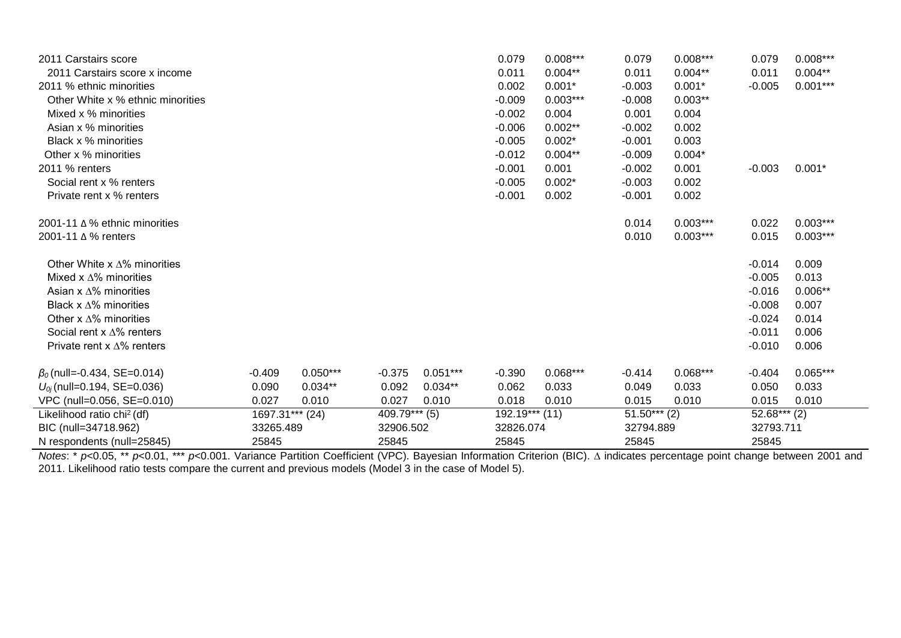| 2011 Carstairs score                   |                 |            |               |            | 0.079          | $0.008***$ | 0.079          | $0.008***$ | 0.079          | $0.008***$ |
|----------------------------------------|-----------------|------------|---------------|------------|----------------|------------|----------------|------------|----------------|------------|
| 2011 Carstairs score x income          |                 |            |               |            | 0.011          | $0.004**$  | 0.011          | $0.004**$  | 0.011          | $0.004**$  |
| 2011 % ethnic minorities               |                 |            |               |            | 0.002          | $0.001*$   | $-0.003$       | $0.001*$   | $-0.005$       | $0.001***$ |
| Other White x % ethnic minorities      |                 |            |               |            | $-0.009$       | $0.003***$ | $-0.008$       | $0.003**$  |                |            |
| Mixed x % minorities                   |                 |            |               |            | $-0.002$       | 0.004      | 0.001          | 0.004      |                |            |
| Asian x % minorities                   |                 |            |               |            | $-0.006$       | $0.002**$  | $-0.002$       | 0.002      |                |            |
| Black x % minorities                   |                 |            |               |            | $-0.005$       | $0.002*$   | $-0.001$       | 0.003      |                |            |
| Other x % minorities                   |                 |            |               |            | $-0.012$       | $0.004**$  | $-0.009$       | $0.004*$   |                |            |
| 2011 % renters                         |                 |            |               |            | $-0.001$       | 0.001      | $-0.002$       | 0.001      | $-0.003$       | $0.001*$   |
| Social rent x % renters                |                 |            |               |            | $-0.005$       | $0.002*$   | $-0.003$       | 0.002      |                |            |
| Private rent x % renters               |                 |            |               |            | $-0.001$       | 0.002      | $-0.001$       | 0.002      |                |            |
| 2001-11 $\Delta$ % ethnic minorities   |                 |            |               |            |                |            | 0.014          | $0.003***$ | 0.022          | $0.003***$ |
| 2001-11 ∆ % renters                    |                 |            |               |            |                |            | 0.010          | $0.003***$ | 0.015          | $0.003***$ |
| Other White $x \Delta$ % minorities    |                 |            |               |            |                |            |                |            | $-0.014$       | 0.009      |
| Mixed x $\Delta\%$ minorities          |                 |            |               |            |                |            |                |            | $-0.005$       | 0.013      |
| Asian x $\Delta$ % minorities          |                 |            |               |            |                |            |                |            | $-0.016$       | $0.006**$  |
| Black $x \triangle $ % minorities      |                 |            |               |            |                |            |                |            | $-0.008$       | 0.007      |
| Other x $\Delta$ % minorities          |                 |            |               |            |                |            |                |            | $-0.024$       | 0.014      |
| Social rent $x \Delta\%$ renters       |                 |            |               |            |                |            |                |            | $-0.011$       | 0.006      |
| Private rent x $\Delta$ % renters      |                 |            |               |            |                |            |                |            | $-0.010$       | 0.006      |
|                                        |                 |            |               |            |                |            |                |            |                |            |
| $\beta_0$ (null=-0.434, SE=0.014)      | $-0.409$        | $0.050***$ | $-0.375$      | $0.051***$ | $-0.390$       | $0.068***$ | $-0.414$       | $0.068***$ | $-0.404$       | $0.065***$ |
| $U_{0i}$ (null=0.194, SE=0.036)        | 0.090           | $0.034**$  | 0.092         | $0.034**$  | 0.062          | 0.033      | 0.049          | 0.033      | 0.050          | 0.033      |
| VPC (null=0.056, SE=0.010)             | 0.027           | 0.010      | 0.027         | 0.010      | 0.018          | 0.010      | 0.015          | 0.010      | 0.015          | 0.010      |
| Likelihood ratio chi <sup>2</sup> (df) | 1697.31*** (24) |            | 409.79*** (5) |            | 192.19*** (11) |            | $51.50***$ (2) |            | $52.68***$ (2) |            |
| BIC (null=34718.962)                   | 33265.489       |            | 32906.502     |            | 32826.074      |            | 32794.889      |            | 32793.711      |            |
| N respondents (null=25845)             | 25845           |            | 25845         |            | 25845          |            | 25845          |            | 25845          |            |

*Notes*: \* *p*<0.05, \*\* *p*<0.01, \*\*\* *p*<0.001. Variance Partition Coefficient (VPC). Bayesian Information Criterion (BIC). ∆ indicates percentage point change between 2001 and 2011. Likelihood ratio tests compare the current and previous models (Model 3 in the case of Model 5).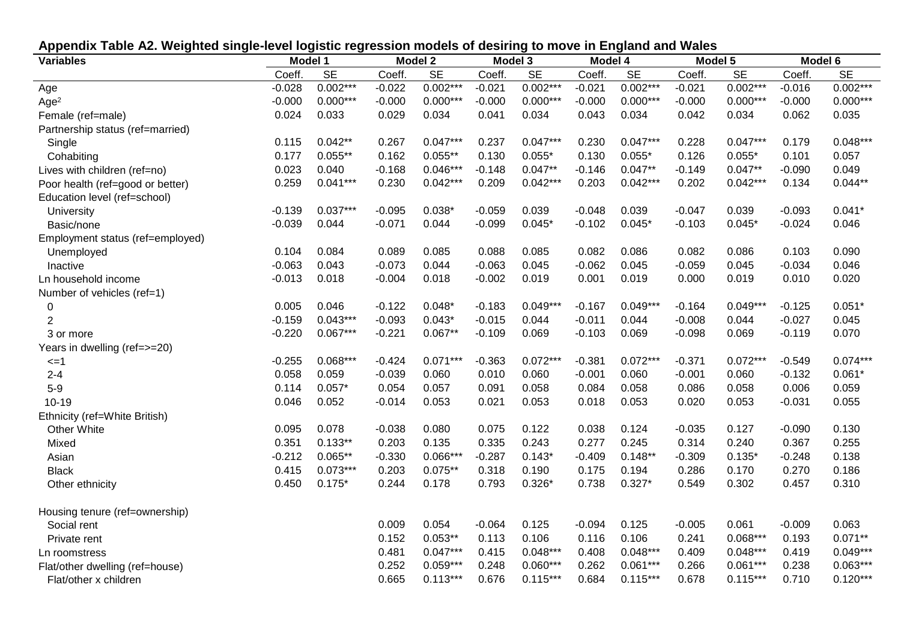| <b>Variables</b>                 |          | Model 1    |          | Model 2    |          | Model 3    | Model 4  |            |          | Model 5    | Model 6  |            |
|----------------------------------|----------|------------|----------|------------|----------|------------|----------|------------|----------|------------|----------|------------|
|                                  | Coeff.   | <b>SE</b>  | Coeff.   | <b>SE</b>  | Coeff.   | <b>SE</b>  | Coeff.   | <b>SE</b>  | Coeff.   | <b>SE</b>  | Coeff.   | <b>SE</b>  |
| Age                              | $-0.028$ | $0.002***$ | $-0.022$ | $0.002***$ | $-0.021$ | $0.002***$ | $-0.021$ | $0.002***$ | $-0.021$ | $0.002***$ | $-0.016$ | $0.002***$ |
| Age <sup>2</sup>                 | $-0.000$ | $0.000***$ | $-0.000$ | $0.000***$ | $-0.000$ | $0.000***$ | $-0.000$ | $0.000***$ | $-0.000$ | $0.000***$ | $-0.000$ | $0.000***$ |
| Female (ref=male)                | 0.024    | 0.033      | 0.029    | 0.034      | 0.041    | 0.034      | 0.043    | 0.034      | 0.042    | 0.034      | 0.062    | 0.035      |
| Partnership status (ref=married) |          |            |          |            |          |            |          |            |          |            |          |            |
| Single                           | 0.115    | $0.042**$  | 0.267    | $0.047***$ | 0.237    | $0.047***$ | 0.230    | $0.047***$ | 0.228    | $0.047***$ | 0.179    | $0.048***$ |
| Cohabiting                       | 0.177    | $0.055**$  | 0.162    | $0.055**$  | 0.130    | $0.055*$   | 0.130    | $0.055*$   | 0.126    | $0.055*$   | 0.101    | 0.057      |
| Lives with children (ref=no)     | 0.023    | 0.040      | $-0.168$ | $0.046***$ | $-0.148$ | $0.047**$  | $-0.146$ | $0.047**$  | $-0.149$ | $0.047**$  | $-0.090$ | 0.049      |
| Poor health (ref=good or better) | 0.259    | $0.041***$ | 0.230    | $0.042***$ | 0.209    | $0.042***$ | 0.203    | $0.042***$ | 0.202    | $0.042***$ | 0.134    | $0.044**$  |
| Education level (ref=school)     |          |            |          |            |          |            |          |            |          |            |          |            |
| University                       | $-0.139$ | $0.037***$ | $-0.095$ | $0.038*$   | $-0.059$ | 0.039      | $-0.048$ | 0.039      | $-0.047$ | 0.039      | $-0.093$ | $0.041*$   |
| Basic/none                       | $-0.039$ | 0.044      | $-0.071$ | 0.044      | $-0.099$ | $0.045*$   | $-0.102$ | $0.045*$   | $-0.103$ | $0.045*$   | $-0.024$ | 0.046      |
| Employment status (ref=employed) |          |            |          |            |          |            |          |            |          |            |          |            |
| Unemployed                       | 0.104    | 0.084      | 0.089    | 0.085      | 0.088    | 0.085      | 0.082    | 0.086      | 0.082    | 0.086      | 0.103    | 0.090      |
| Inactive                         | $-0.063$ | 0.043      | $-0.073$ | 0.044      | $-0.063$ | 0.045      | $-0.062$ | 0.045      | $-0.059$ | 0.045      | $-0.034$ | 0.046      |
| Ln household income              | $-0.013$ | 0.018      | $-0.004$ | 0.018      | $-0.002$ | 0.019      | 0.001    | 0.019      | 0.000    | 0.019      | 0.010    | 0.020      |
| Number of vehicles (ref=1)       |          |            |          |            |          |            |          |            |          |            |          |            |
| 0                                | 0.005    | 0.046      | $-0.122$ | $0.048*$   | $-0.183$ | $0.049***$ | $-0.167$ | $0.049***$ | $-0.164$ | $0.049***$ | $-0.125$ | $0.051*$   |
| $\overline{2}$                   | $-0.159$ | $0.043***$ | $-0.093$ | $0.043*$   | $-0.015$ | 0.044      | $-0.011$ | 0.044      | $-0.008$ | 0.044      | $-0.027$ | 0.045      |
| 3 or more                        | $-0.220$ | $0.067***$ | $-0.221$ | $0.067**$  | $-0.109$ | 0.069      | $-0.103$ | 0.069      | $-0.098$ | 0.069      | $-0.119$ | 0.070      |
| Years in dwelling (ref=>=20)     |          |            |          |            |          |            |          |            |          |            |          |            |
| <=1                              | $-0.255$ | $0.068***$ | $-0.424$ | $0.071***$ | $-0.363$ | $0.072***$ | $-0.381$ | $0.072***$ | $-0.371$ | $0.072***$ | $-0.549$ | $0.074***$ |
| $2 - 4$                          | 0.058    | 0.059      | $-0.039$ | 0.060      | 0.010    | 0.060      | $-0.001$ | 0.060      | $-0.001$ | 0.060      | $-0.132$ | $0.061*$   |
| $5-9$                            | 0.114    | $0.057*$   | 0.054    | 0.057      | 0.091    | 0.058      | 0.084    | 0.058      | 0.086    | 0.058      | 0.006    | 0.059      |
| $10 - 19$                        | 0.046    | 0.052      | $-0.014$ | 0.053      | 0.021    | 0.053      | 0.018    | 0.053      | 0.020    | 0.053      | $-0.031$ | 0.055      |
| Ethnicity (ref=White British)    |          |            |          |            |          |            |          |            |          |            |          |            |
| Other White                      | 0.095    | 0.078      | $-0.038$ | 0.080      | 0.075    | 0.122      | 0.038    | 0.124      | $-0.035$ | 0.127      | $-0.090$ | 0.130      |
| Mixed                            | 0.351    | $0.133**$  | 0.203    | 0.135      | 0.335    | 0.243      | 0.277    | 0.245      | 0.314    | 0.240      | 0.367    | 0.255      |
| Asian                            | $-0.212$ | $0.065**$  | $-0.330$ | $0.066***$ | $-0.287$ | $0.143*$   | $-0.409$ | $0.148**$  | $-0.309$ | $0.135*$   | $-0.248$ | 0.138      |
| <b>Black</b>                     | 0.415    | $0.073***$ | 0.203    | $0.075**$  | 0.318    | 0.190      | 0.175    | 0.194      | 0.286    | 0.170      | 0.270    | 0.186      |
| Other ethnicity                  | 0.450    | $0.175*$   | 0.244    | 0.178      | 0.793    | $0.326*$   | 0.738    | $0.327*$   | 0.549    | 0.302      | 0.457    | 0.310      |
| Housing tenure (ref=ownership)   |          |            |          |            |          |            |          |            |          |            |          |            |
| Social rent                      |          |            | 0.009    | 0.054      | $-0.064$ | 0.125      | $-0.094$ | 0.125      | $-0.005$ | 0.061      | $-0.009$ | 0.063      |
| Private rent                     |          |            | 0.152    | $0.053**$  | 0.113    | 0.106      | 0.116    | 0.106      | 0.241    | $0.068***$ | 0.193    | $0.071**$  |
| Ln roomstress                    |          |            | 0.481    | $0.047***$ | 0.415    | $0.048***$ | 0.408    | $0.048***$ | 0.409    | $0.048***$ | 0.419    | $0.049***$ |
| Flat/other dwelling (ref=house)  |          |            | 0.252    | $0.059***$ | 0.248    | $0.060***$ | 0.262    | $0.061***$ | 0.266    | $0.061***$ | 0.238    | $0.063***$ |
| Flat/other x children            |          |            | 0.665    | $0.113***$ | 0.676    | $0.115***$ | 0.684    | $0.115***$ | 0.678    | $0.115***$ | 0.710    | $0.120***$ |

|  |  | Appendix Table A2. Weighted single-level logistic regression models of desiring to move in England and Wales |
|--|--|--------------------------------------------------------------------------------------------------------------|
|  |  |                                                                                                              |